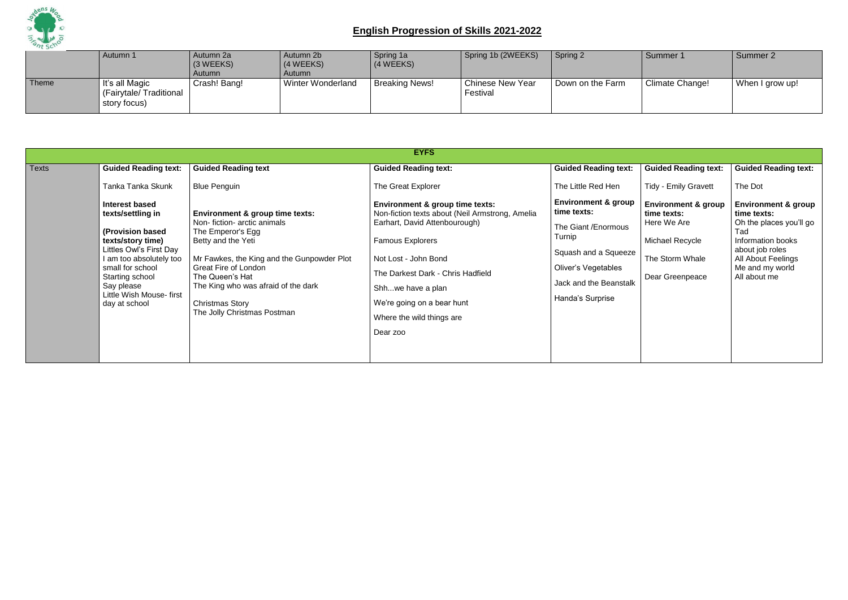

|       | Autumn 1                                                 | Autumn 2a<br>$(3 \, \text{WEEKS})$<br>Autumn | Autumn 2b<br>$(4 \text{ WEEKS})$<br>Autumn | Spring 1a<br>(4 WEEKS) | Spring 1b (2WEEKS)           | Spring 2         | Summer 1        | Summer 2        |
|-------|----------------------------------------------------------|----------------------------------------------|--------------------------------------------|------------------------|------------------------------|------------------|-----------------|-----------------|
| Theme | It's all Magic<br>(Fairytale/Traditional<br>story focus) | Crash! Bang!                                 | Winter Wonderland                          | <b>Breaking News!</b>  | Chinese New Year<br>Festival | Down on the Farm | Climate Change! | When I grow up! |

|              |                                                                                                                                                                                                                                            |                                                                                                                                                                                                                                                                                                                      | <b>EYFS</b>                                                                                                                                                                                                                                                                                             |                                                                                                                                                                                     |                                                                                                                       |                                                                                                                                                                                  |
|--------------|--------------------------------------------------------------------------------------------------------------------------------------------------------------------------------------------------------------------------------------------|----------------------------------------------------------------------------------------------------------------------------------------------------------------------------------------------------------------------------------------------------------------------------------------------------------------------|---------------------------------------------------------------------------------------------------------------------------------------------------------------------------------------------------------------------------------------------------------------------------------------------------------|-------------------------------------------------------------------------------------------------------------------------------------------------------------------------------------|-----------------------------------------------------------------------------------------------------------------------|----------------------------------------------------------------------------------------------------------------------------------------------------------------------------------|
| <b>Texts</b> | <b>Guided Reading text:</b>                                                                                                                                                                                                                | <b>Guided Reading text</b>                                                                                                                                                                                                                                                                                           | <b>Guided Reading text:</b>                                                                                                                                                                                                                                                                             | <b>Guided Reading text:</b>                                                                                                                                                         | <b>Guided Reading text:</b>                                                                                           | <b>Guided Reading text:</b>                                                                                                                                                      |
|              | Tanka Tanka Skunk                                                                                                                                                                                                                          | <b>Blue Penguin</b>                                                                                                                                                                                                                                                                                                  | The Great Explorer                                                                                                                                                                                                                                                                                      | The Little Red Hen                                                                                                                                                                  | <b>Tidy - Emily Gravett</b>                                                                                           | The Dot                                                                                                                                                                          |
|              | <b>Interest based</b><br>texts/settling in<br>(Provision based<br>texts/story time)<br>Littles Owl's First Day<br>I am too absolutely too<br>small for school<br>Starting school<br>Say please<br>Little Wish Mouse-first<br>day at school | <b>Environment &amp; group time texts:</b><br>Non-fiction- arctic animals<br>The Emperor's Egg<br>Betty and the Yeti<br>Mr Fawkes, the King and the Gunpowder Plot<br><b>Great Fire of London</b><br>The Queen's Hat<br>The King who was afraid of the dark<br><b>Christmas Story</b><br>The Jolly Christmas Postman | Environment & group time texts:<br>Non-fiction texts about (Neil Armstrong, Amelia<br>Earhart, David Attenbourough)<br><b>Famous Explorers</b><br>Not Lost - John Bond<br>The Darkest Dark - Chris Hadfield<br>Shhwe have a plan<br>We're going on a bear hunt<br>Where the wild things are<br>Dear zoo | <b>Environment &amp; group</b><br>time texts:<br>The Giant / Enormous<br>Turnip<br>Squash and a Squeeze<br><b>Oliver's Vegetables</b><br>Jack and the Beanstalk<br>Handa's Surprise | <b>Environment &amp; group</b><br>time texts:<br>Here We Are<br>Michael Recycle<br>The Storm Whale<br>Dear Greenpeace | <b>Environment &amp; group</b><br>time texts:<br>Oh the places you'll go<br>Tad<br>Information books<br>about job roles<br>All About Feelings<br>Me and my world<br>All about me |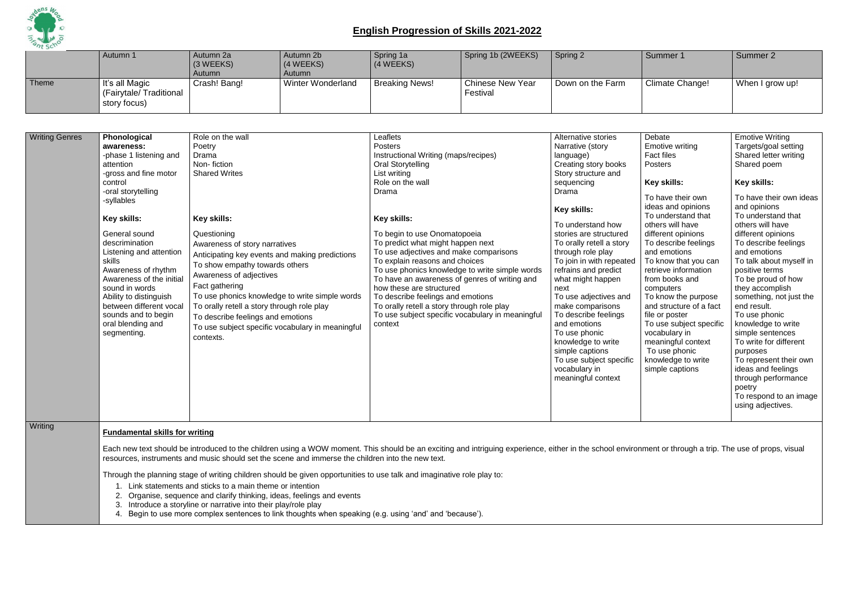

|       | Autumn 1                                                 | Autumn 2a<br>$(3 \, \text{WEEKS})$<br><b>Autumn</b> | Autumn 2b<br>$(4 \, \text{WEEKS})$<br>Autumn | Spring 1a<br>(4 WEEKS) | Spring 1b (2WEEKS)                  | Spring 2         | Summer 1        | Summer 2        |
|-------|----------------------------------------------------------|-----------------------------------------------------|----------------------------------------------|------------------------|-------------------------------------|------------------|-----------------|-----------------|
| Theme | It's all Magic<br>(Fairytale/Traditional<br>story focus) | Crash! Bang!                                        | <b>Winter Wonderland</b>                     | <b>Breaking News!</b>  | <b>Chinese New Year</b><br>Festival | Down on the Farm | Climate Change! | When I grow up! |

| <b>Writing Genres</b> | Phonological<br>awareness:<br>-phase 1 listening and<br>attention<br>-gross and fine motor<br>control<br>-oral storytelling<br>-syllables<br>Key skills:<br>General sound<br>descrimination<br>Listening and attention<br><b>skills</b><br>Awareness of rhythm<br>Awareness of the initial<br>sound in words<br>Ability to distinguish<br>between different vocal<br>sounds and to begin<br>oral blending and<br>segmenting. | Role on the wall<br>Poetry<br>Drama<br>Non-fiction<br><b>Shared Writes</b><br>Key skills:<br>Questioning<br>Awareness of story narratives<br>Anticipating key events and making predictions<br>To show empathy towards others<br>Awareness of adjectives<br>Fact gathering<br>To use phonics knowledge to write simple words<br>To orally retell a story through role play<br>To describe feelings and emotions<br>To use subject specific vocabulary in meaningful<br>contexts. | Leaflets<br>Posters<br>Instructional Writing (maps/recipes)<br>Oral Storytelling<br>List writing<br>Role on the wall<br>Drama<br>Key skills:<br>To begin to use Onomatopoeia<br>To predict what might happen next<br>To use adjectives and make comparisons<br>To explain reasons and choices<br>To use phonics knowledge to write simple words<br>To have an awareness of genres of writing and<br>how these are structured<br>To describe feelings and emotions<br>To orally retell a story through role play<br>To use subject specific vocabulary in meaningful<br>context | Alternative stories<br>Narrative (story<br>language)<br>Creating story books<br>Story structure and<br>sequencing<br>Drama<br>Key skills:<br>To understand how<br>stories are structured<br>To orally retell a story<br>through role play<br>To join in with repeated<br>refrains and predict<br>what might happen<br>next<br>To use adjectives and<br>make comparisons<br>To describe feelings<br>and emotions<br>To use phonic<br>knowledge to write<br>simple captions<br>To use subject specific<br>vocabulary in<br>meaningful context | Debate<br><b>Emotive writing</b><br><b>Fact files</b><br><b>Posters</b><br>Key skills:<br>To have their own<br>ideas and opinions<br>To understand that<br>others will have<br>different opinions<br>To describe feelings<br>and emotions<br>To know that you can<br>retrieve information<br>from books and<br>computers<br>To know the purpose<br>and structure of a fact<br>file or poster<br>To use subject specific<br>vocabulary in<br>meaningful context<br>To use phonic<br>knowledge to write<br>simple captions | <b>Emotive Writing</b><br>Targets/goal setting<br>Shared letter writing<br>Shared poem<br>Key skills:<br>To have their own ideas<br>and opinions<br>To understand that<br>others will have<br>different opinions<br>To describe feelings<br>and emotions<br>To talk about myself in<br>positive terms<br>To be proud of how<br>they accomplish<br>something, not just the<br>end result.<br>To use phonic<br>knowledge to write<br>simple sentences<br>To write for different<br>purposes<br>To represent their own<br>ideas and feelings<br>through performance<br>poetry<br>To respond to an image<br>using adjectives. |
|-----------------------|------------------------------------------------------------------------------------------------------------------------------------------------------------------------------------------------------------------------------------------------------------------------------------------------------------------------------------------------------------------------------------------------------------------------------|----------------------------------------------------------------------------------------------------------------------------------------------------------------------------------------------------------------------------------------------------------------------------------------------------------------------------------------------------------------------------------------------------------------------------------------------------------------------------------|--------------------------------------------------------------------------------------------------------------------------------------------------------------------------------------------------------------------------------------------------------------------------------------------------------------------------------------------------------------------------------------------------------------------------------------------------------------------------------------------------------------------------------------------------------------------------------|---------------------------------------------------------------------------------------------------------------------------------------------------------------------------------------------------------------------------------------------------------------------------------------------------------------------------------------------------------------------------------------------------------------------------------------------------------------------------------------------------------------------------------------------|--------------------------------------------------------------------------------------------------------------------------------------------------------------------------------------------------------------------------------------------------------------------------------------------------------------------------------------------------------------------------------------------------------------------------------------------------------------------------------------------------------------------------|---------------------------------------------------------------------------------------------------------------------------------------------------------------------------------------------------------------------------------------------------------------------------------------------------------------------------------------------------------------------------------------------------------------------------------------------------------------------------------------------------------------------------------------------------------------------------------------------------------------------------|
| Writing               | <b>Fundamental skills for writing</b>                                                                                                                                                                                                                                                                                                                                                                                        | Each new text should be introduced to the children using a WOW moment. This should be an exciting and intriguing experience, either in the school environment or through a trip. The use of props, visual                                                                                                                                                                                                                                                                        |                                                                                                                                                                                                                                                                                                                                                                                                                                                                                                                                                                                |                                                                                                                                                                                                                                                                                                                                                                                                                                                                                                                                             |                                                                                                                                                                                                                                                                                                                                                                                                                                                                                                                          |                                                                                                                                                                                                                                                                                                                                                                                                                                                                                                                                                                                                                           |
|                       |                                                                                                                                                                                                                                                                                                                                                                                                                              | resources, instruments and music should set the scene and immerse the children into the new text.                                                                                                                                                                                                                                                                                                                                                                                |                                                                                                                                                                                                                                                                                                                                                                                                                                                                                                                                                                                |                                                                                                                                                                                                                                                                                                                                                                                                                                                                                                                                             |                                                                                                                                                                                                                                                                                                                                                                                                                                                                                                                          |                                                                                                                                                                                                                                                                                                                                                                                                                                                                                                                                                                                                                           |

Through the planning stage of writing children should be given opportunities to use talk and imaginative role play to:

- 1. Link statements and sticks to a main theme or intention
- 2. Organise, sequence and clarify thinking, ideas, feelings and events
- 3. Introduce a storyline or narrative into their play/role play
- 4. Begin to use more complex sentences to link thoughts when speaking (e.g. using 'and' and 'because').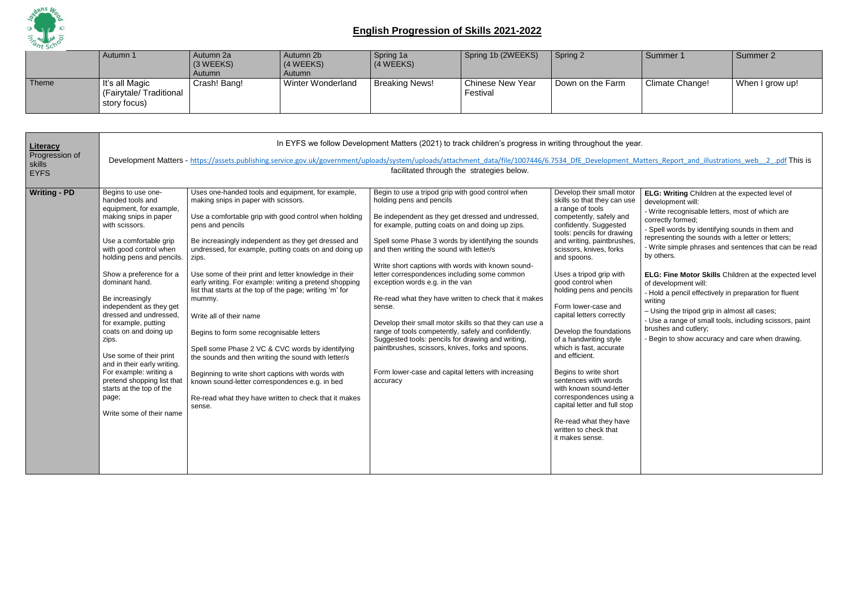

|       | Autumn 1                                                   | Autumn 2a<br>(3 WEEKS)<br>Autumn | Autumn 2b<br>(4 WEEKS)<br>Autumn | Spring 1a<br>(4 WEEKS) | Spring 1b (2WEEKS)                  | Spring 2         | Summer 1        | Summer 2        |
|-------|------------------------------------------------------------|----------------------------------|----------------------------------|------------------------|-------------------------------------|------------------|-----------------|-----------------|
| Theme | ∣ It's all Magic<br>(Fairytale/Traditional<br>story focus) | Crash! Bang!                     | Winter Wonderland                | <b>Breaking News!</b>  | <b>Chinese New Year</b><br>Festival | Down on the Farm | Climate Change! | When I grow up! |

| Literacy<br>Progression of | In EYFS we follow Development Matters (2021) to track children's progress in writing throughout the year.<br>Development Matters - https://assets.publishing.service.gov.uk/government/uploads/system/uploads/attachment data/file/1007446/6.7534 DfE Development Matters Report and illustrations web 2 .pdf This is                                                                                                                                                                                                                                           |                                                                                                                                                                                                                                                                                                                                                                                                                                                                                                                                                                                                                                                                                                                                                                                                                                                      |                                                                                                                                                                                                                                                                                                                                                                                                                                                                                                                                                                                                                                                                                                                                                                                                    |                                                                                                                                                                                                                                                                                                                                                                                                                                                                                                                                                                                                                                                                                        |                                                                                                                                                                                                                                                                                                                                                                                                                                                                                                                                                                                                                                                                   |  |  |  |  |  |
|----------------------------|-----------------------------------------------------------------------------------------------------------------------------------------------------------------------------------------------------------------------------------------------------------------------------------------------------------------------------------------------------------------------------------------------------------------------------------------------------------------------------------------------------------------------------------------------------------------|------------------------------------------------------------------------------------------------------------------------------------------------------------------------------------------------------------------------------------------------------------------------------------------------------------------------------------------------------------------------------------------------------------------------------------------------------------------------------------------------------------------------------------------------------------------------------------------------------------------------------------------------------------------------------------------------------------------------------------------------------------------------------------------------------------------------------------------------------|----------------------------------------------------------------------------------------------------------------------------------------------------------------------------------------------------------------------------------------------------------------------------------------------------------------------------------------------------------------------------------------------------------------------------------------------------------------------------------------------------------------------------------------------------------------------------------------------------------------------------------------------------------------------------------------------------------------------------------------------------------------------------------------------------|----------------------------------------------------------------------------------------------------------------------------------------------------------------------------------------------------------------------------------------------------------------------------------------------------------------------------------------------------------------------------------------------------------------------------------------------------------------------------------------------------------------------------------------------------------------------------------------------------------------------------------------------------------------------------------------|-------------------------------------------------------------------------------------------------------------------------------------------------------------------------------------------------------------------------------------------------------------------------------------------------------------------------------------------------------------------------------------------------------------------------------------------------------------------------------------------------------------------------------------------------------------------------------------------------------------------------------------------------------------------|--|--|--|--|--|
| skills<br><b>EYFS</b>      |                                                                                                                                                                                                                                                                                                                                                                                                                                                                                                                                                                 | facilitated through the strategies below.                                                                                                                                                                                                                                                                                                                                                                                                                                                                                                                                                                                                                                                                                                                                                                                                            |                                                                                                                                                                                                                                                                                                                                                                                                                                                                                                                                                                                                                                                                                                                                                                                                    |                                                                                                                                                                                                                                                                                                                                                                                                                                                                                                                                                                                                                                                                                        |                                                                                                                                                                                                                                                                                                                                                                                                                                                                                                                                                                                                                                                                   |  |  |  |  |  |
| <b>Writing - PD</b>        | Begins to use one-<br>handed tools and<br>equipment, for example,<br>making snips in paper<br>with scissors.<br>Use a comfortable grip<br>with good control when<br>holding pens and pencils.<br>Show a preference for a<br>dominant hand.<br>Be increasingly<br>independent as they get<br>dressed and undressed,<br>for example, putting<br>coats on and doing up<br>zips.<br>Use some of their print<br>and in their early writing.<br>For example: writing a<br>pretend shopping list that<br>starts at the top of the<br>page;<br>Write some of their name | Uses one-handed tools and equipment, for example,<br>making snips in paper with scissors.<br>Use a comfortable grip with good control when holding<br>pens and pencils<br>Be increasingly independent as they get dressed and<br>undressed, for example, putting coats on and doing up<br>zips.<br>Use some of their print and letter knowledge in their<br>early writing. For example: writing a pretend shopping<br>list that starts at the top of the page; writing 'm' for<br>mummy.<br>Write all of their name<br>Begins to form some recognisable letters<br>Spell some Phase 2 VC & CVC words by identifying<br>the sounds and then writing the sound with letter/s<br>Beginning to write short captions with words with<br>known sound-letter correspondences e.g. in bed<br>Re-read what they have written to check that it makes<br>sense. | Begin to use a tripod grip with good control when<br>holding pens and pencils<br>Be independent as they get dressed and undressed,<br>for example, putting coats on and doing up zips.<br>Spell some Phase 3 words by identifying the sounds<br>and then writing the sound with letter/s<br>Write short captions with words with known sound-<br>letter correspondences including some common<br>exception words e.g. in the van<br>Re-read what they have written to check that it makes<br>sense.<br>Develop their small motor skills so that they can use a<br>range of tools competently, safely and confidently.<br>Suggested tools: pencils for drawing and writing,<br>paintbrushes, scissors, knives, forks and spoons.<br>Form lower-case and capital letters with increasing<br>accuracy | Develop their small motor<br>skills so that they can use<br>a range of tools<br>competently, safely and<br>confidently. Suggested<br>tools: pencils for drawing<br>and writing, paintbrushes,<br>scissors, knives, forks<br>and spoons.<br>Uses a tripod grip with<br>good control when<br>holding pens and pencils<br>Form lower-case and<br>capital letters correctly<br>Develop the foundations<br>of a handwriting style<br>which is fast, accurate<br>and efficient.<br>Begins to write short<br>sentences with words<br>with known sound-letter<br>correspondences using a<br>capital letter and full stop<br>Re-read what they have<br>written to check that<br>it makes sense. | ELG: Writing Children at the expected level of<br>development will:<br>- Write recognisable letters, most of which are<br>correctly formed;<br>- Spell words by identifying sounds in them and<br>representing the sounds with a letter or letters;<br>- Write simple phrases and sentences that can be rea<br>by others.<br>ELG: Fine Motor Skills Children at the expected leve<br>of development will:<br>- Hold a pencil effectively in preparation for fluent<br>writing<br>- Using the tripod grip in almost all cases;<br>- Use a range of small tools, including scissors, paint<br>brushes and cutlery;<br>Begin to show accuracy and care when drawing. |  |  |  |  |  |

|  | Matters Report and illustrations web 2 .pdf This is |  |  |
|--|-----------------------------------------------------|--|--|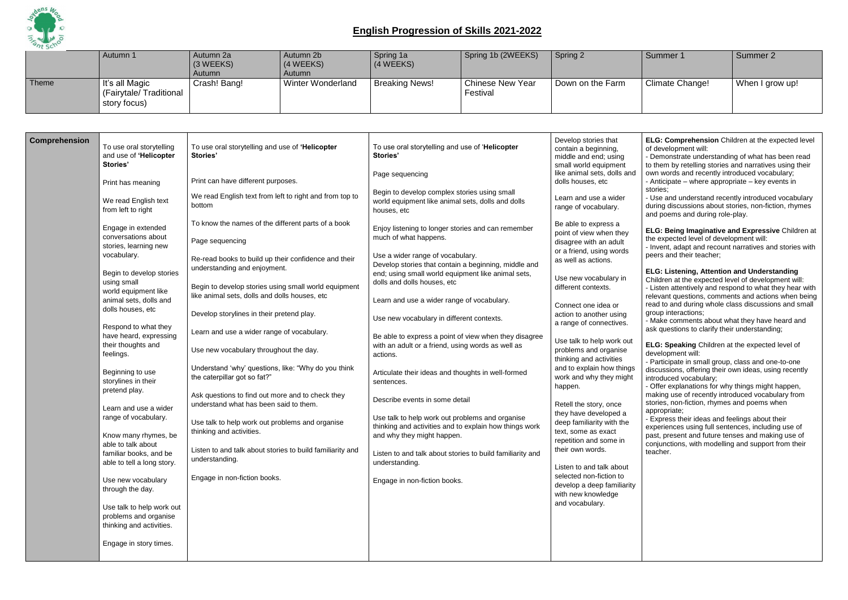

|       | Autumn 1                                                 | Autumn 2a<br>(3 WEEKS)<br><b>Autumn</b> | Autumn 2b<br>(4 WEEKS)<br>Autumn | Spring 1a<br>(4 WEEKS) | Spring 1b (2WEEKS)                  | Spring 2         | Summer 1        | Summer 2   |
|-------|----------------------------------------------------------|-----------------------------------------|----------------------------------|------------------------|-------------------------------------|------------------|-----------------|------------|
| Theme | It's all Magic<br>(Fairytale/Traditional<br>story focus) | Crash! Bang!                            | <b>Winter Wonderland</b>         | <b>Breaking News!</b>  | <b>Chinese New Year</b><br>Festival | Down on the Farm | Climate Change! | When I gro |

| <b>Comprehension</b> | To use oral storytelling<br>and use of 'Helicopter<br>Stories'                                                                                                                                                                                                                                                                                                                                                                                                                                                                    | To use oral storytelling and use of 'Helicopter<br><b>Stories'</b>                                                                                                                                                                                                                                                                                                                                                                                                                                                                                                                                                                                                                                                                                                                             | To use oral storytelling and use of 'Helicopter<br>Stories'                                                                                                                                                                                                                                                                                                                                                                                                                                                                                                                                                                                                                                                                                                                                                                                       | Develop stories that<br>contain a beginning,<br>middle and end; using<br>small world equipment                                                                                                                                                                                                                                                                                                                                                                                                                                                                                                                                                          |
|----------------------|-----------------------------------------------------------------------------------------------------------------------------------------------------------------------------------------------------------------------------------------------------------------------------------------------------------------------------------------------------------------------------------------------------------------------------------------------------------------------------------------------------------------------------------|------------------------------------------------------------------------------------------------------------------------------------------------------------------------------------------------------------------------------------------------------------------------------------------------------------------------------------------------------------------------------------------------------------------------------------------------------------------------------------------------------------------------------------------------------------------------------------------------------------------------------------------------------------------------------------------------------------------------------------------------------------------------------------------------|---------------------------------------------------------------------------------------------------------------------------------------------------------------------------------------------------------------------------------------------------------------------------------------------------------------------------------------------------------------------------------------------------------------------------------------------------------------------------------------------------------------------------------------------------------------------------------------------------------------------------------------------------------------------------------------------------------------------------------------------------------------------------------------------------------------------------------------------------|---------------------------------------------------------------------------------------------------------------------------------------------------------------------------------------------------------------------------------------------------------------------------------------------------------------------------------------------------------------------------------------------------------------------------------------------------------------------------------------------------------------------------------------------------------------------------------------------------------------------------------------------------------|
|                      | Print has meaning                                                                                                                                                                                                                                                                                                                                                                                                                                                                                                                 | Print can have different purposes.                                                                                                                                                                                                                                                                                                                                                                                                                                                                                                                                                                                                                                                                                                                                                             | Page sequencing                                                                                                                                                                                                                                                                                                                                                                                                                                                                                                                                                                                                                                                                                                                                                                                                                                   | like animal sets, dolls and<br>dolls houses, etc                                                                                                                                                                                                                                                                                                                                                                                                                                                                                                                                                                                                        |
|                      | We read English text<br>from left to right                                                                                                                                                                                                                                                                                                                                                                                                                                                                                        | We read English text from left to right and from top to<br>bottom                                                                                                                                                                                                                                                                                                                                                                                                                                                                                                                                                                                                                                                                                                                              | Begin to develop complex stories using small<br>world equipment like animal sets, dolls and dolls<br>houses, etc                                                                                                                                                                                                                                                                                                                                                                                                                                                                                                                                                                                                                                                                                                                                  | Learn and use a wider<br>range of vocabulary.                                                                                                                                                                                                                                                                                                                                                                                                                                                                                                                                                                                                           |
|                      | Engage in extended<br>conversations about<br>stories, learning new<br>vocabulary.<br>Begin to develop stories<br>using small<br>world equipment like<br>animal sets, dolls and<br>dolls houses, etc<br>Respond to what they<br>have heard, expressing<br>their thoughts and<br>feelings.<br>Beginning to use<br>storylines in their<br>pretend play.<br>Learn and use a wider<br>range of vocabulary.<br>Know many rhymes, be<br>able to talk about<br>familiar books, and be<br>able to tell a long story.<br>Use new vocabulary | To know the names of the different parts of a book<br>Page sequencing<br>Re-read books to build up their confidence and their<br>understanding and enjoyment.<br>Begin to develop stories using small world equipment<br>like animal sets, dolls and dolls houses, etc<br>Develop storylines in their pretend play.<br>Learn and use a wider range of vocabulary.<br>Use new vocabulary throughout the day.<br>Understand 'why' questions, like: "Why do you think<br>the caterpillar got so fat?"<br>Ask questions to find out more and to check they<br>understand what has been said to them.<br>Use talk to help work out problems and organise<br>thinking and activities.<br>Listen to and talk about stories to build familiarity and<br>understanding.<br>Engage in non-fiction books. | Enjoy listening to longer stories and can remember<br>much of what happens.<br>Use a wider range of vocabulary.<br>Develop stories that contain a beginning, middle and<br>end; using small world equipment like animal sets,<br>dolls and dolls houses, etc<br>Learn and use a wider range of vocabulary.<br>Use new vocabulary in different contexts.<br>Be able to express a point of view when they disagree<br>with an adult or a friend, using words as well as<br>actions.<br>Articulate their ideas and thoughts in well-formed<br>sentences.<br>Describe events in some detail<br>Use talk to help work out problems and organise<br>thinking and activities and to explain how things work<br>and why they might happen.<br>Listen to and talk about stories to build familiarity and<br>understanding.<br>Engage in non-fiction books. | Be able to express a<br>point of view when they<br>disagree with an adult<br>or a friend, using words<br>as well as actions.<br>Use new vocabulary in<br>different contexts.<br>Connect one idea or<br>action to another using<br>a range of connectives.<br>Use talk to help work out<br>problems and organise<br>thinking and activities<br>and to explain how things<br>work and why they might<br>happen.<br>Retell the story, once<br>they have developed a<br>deep familiarity with the<br>text, some as exact<br>repetition and some in<br>their own words.<br>Listen to and talk about<br>selected non-fiction to<br>develop a deep familiarity |
|                      | through the day.<br>Use talk to help work out<br>problems and organise<br>thinking and activities.<br>Engage in story times.                                                                                                                                                                                                                                                                                                                                                                                                      |                                                                                                                                                                                                                                                                                                                                                                                                                                                                                                                                                                                                                                                                                                                                                                                                |                                                                                                                                                                                                                                                                                                                                                                                                                                                                                                                                                                                                                                                                                                                                                                                                                                                   | with new knowledge<br>and vocabulary.                                                                                                                                                                                                                                                                                                                                                                                                                                                                                                                                                                                                                   |
|                      |                                                                                                                                                                                                                                                                                                                                                                                                                                                                                                                                   |                                                                                                                                                                                                                                                                                                                                                                                                                                                                                                                                                                                                                                                                                                                                                                                                |                                                                                                                                                                                                                                                                                                                                                                                                                                                                                                                                                                                                                                                                                                                                                                                                                                                   |                                                                                                                                                                                                                                                                                                                                                                                                                                                                                                                                                                                                                                                         |

| Spring 2         | Summer 1        | Summer 2        |
|------------------|-----------------|-----------------|
| Down on the Farm | Climate Change! | When I grow up! |
|                  |                 |                 |

**ELG: Comprehension** Children at the expected level of development will:

- Demonstrate understanding of what has been read to them by retelling stories and narratives using their own words and recently introduced vocabulary; - Anticipate – where appropriate – key events in stories;

- Use and understand recently introduced vocabulary during discussions about stories, non-fiction, rhymes and poems and during role-play.

**ELG: Being Imaginative and Expressive** Children at the expected level of development will: - Invent, adapt and recount narratives and stories with peers and their teacher;

#### **ELG: Listening, Attention and Understanding**

Children at the expected level of development will: - Listen attentively and respond to what they hear with relevant questions, comments and actions when being read to and during whole class discussions and small group interactions;

- Make comments about what they have heard and ask questions to clarify their understanding;

**ELG: Speaking** Children at the expected level of development will:

- Participate in small group, class and one-to-one discussions, offering their own ideas, using recently introduced vocabulary;

- Offer explanations for why things might happen, making use of recently introduced vocabulary from stories, non-fiction, rhymes and poems when appropriate;

- Express their ideas and feelings about their experiences using full sentences, including use of past, present and future tenses and making use of conjunctions, with modelling and support from their teacher.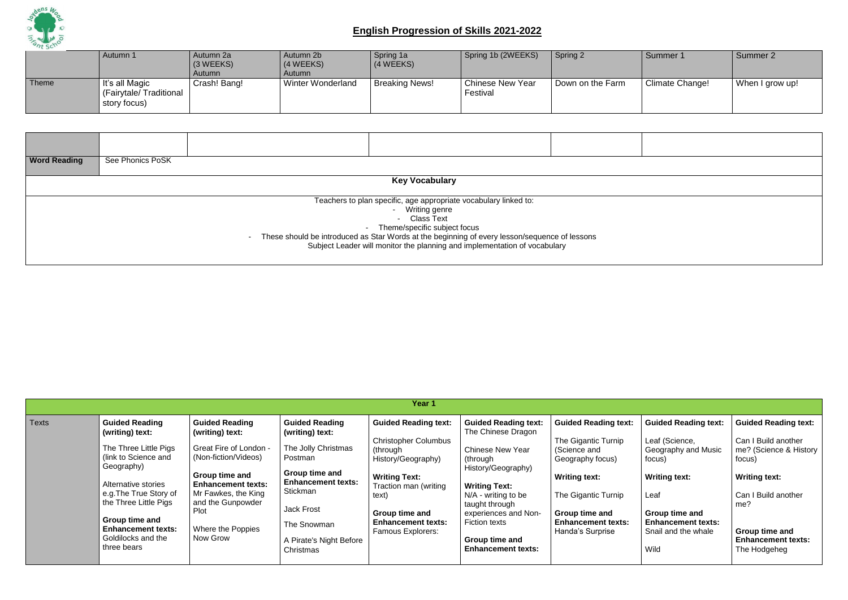

|       | Autumn 1                                                         | Autumn 2a<br>$(3 \, \text{WEEKS})$<br>Autumn | Autumn 2b<br>(4 WEEKS)<br>Autumn | Spring 1a<br>(4 WEEKS) | Spring 1b (2WEEKS)                  | Spring 2         | Summer 1        | Summer 2        |
|-------|------------------------------------------------------------------|----------------------------------------------|----------------------------------|------------------------|-------------------------------------|------------------|-----------------|-----------------|
| Theme | $\vert$ It's all Magic<br>(Fairytale/Traditional<br>story focus) | Crash! Bang!                                 | <b>Winter Wonderland</b>         | <b>Breaking News!</b>  | <b>Chinese New Year</b><br>Festival | Down on the Farm | Climate Change! | When I grow up! |

| <b>Word Reading</b> | See Phonics PoSK                                                          |  |                                                                                                 |  |  |  |  |  |  |  |
|---------------------|---------------------------------------------------------------------------|--|-------------------------------------------------------------------------------------------------|--|--|--|--|--|--|--|
|                     |                                                                           |  |                                                                                                 |  |  |  |  |  |  |  |
|                     | <b>Key Vocabulary</b>                                                     |  |                                                                                                 |  |  |  |  |  |  |  |
|                     |                                                                           |  |                                                                                                 |  |  |  |  |  |  |  |
|                     | Teachers to plan specific, age appropriate vocabulary linked to:          |  |                                                                                                 |  |  |  |  |  |  |  |
|                     |                                                                           |  | Writing genre<br>$\sim$                                                                         |  |  |  |  |  |  |  |
|                     |                                                                           |  | - Class Text                                                                                    |  |  |  |  |  |  |  |
|                     |                                                                           |  | - Theme/specific subject focus                                                                  |  |  |  |  |  |  |  |
|                     |                                                                           |  | - These should be introduced as Star Words at the beginning of every lesson/sequence of lessons |  |  |  |  |  |  |  |
|                     | Subject Leader will monitor the planning and implementation of vocabulary |  |                                                                                                 |  |  |  |  |  |  |  |
|                     |                                                                           |  |                                                                                                 |  |  |  |  |  |  |  |
|                     |                                                                           |  |                                                                                                 |  |  |  |  |  |  |  |

|              |                                                                                                                                                                                                                                                                       |                                                                                                                                                                                                                                |                                                                                                                                                                                                                   | Year 1                                                                                                                                                                                                                            |                                                                                                                                                                                                                                                                                  |                                                                                                                                                                                                          |
|--------------|-----------------------------------------------------------------------------------------------------------------------------------------------------------------------------------------------------------------------------------------------------------------------|--------------------------------------------------------------------------------------------------------------------------------------------------------------------------------------------------------------------------------|-------------------------------------------------------------------------------------------------------------------------------------------------------------------------------------------------------------------|-----------------------------------------------------------------------------------------------------------------------------------------------------------------------------------------------------------------------------------|----------------------------------------------------------------------------------------------------------------------------------------------------------------------------------------------------------------------------------------------------------------------------------|----------------------------------------------------------------------------------------------------------------------------------------------------------------------------------------------------------|
| <b>Texts</b> | <b>Guided Reading</b><br>(writing) text:<br>The Three Little Pigs<br>(link to Science and<br>Geography)<br>Alternative stories<br>e.g. The True Story of<br>the Three Little Pigs<br>Group time and<br><b>Enhancement texts:</b><br>Goldilocks and the<br>three bears | <b>Guided Reading</b><br>(writing) text:<br>Great Fire of London -<br>(Non-fiction/Videos)<br>Group time and<br><b>Enhancement texts:</b><br>Mr Fawkes, the King<br>and the Gunpowder<br>Plot<br>Where the Poppies<br>Now Grow | <b>Guided Reading</b><br>(writing) text:<br>The Jolly Christmas<br>Postman<br>Group time and<br><b>Enhancement texts:</b><br>Stickman<br><b>Jack Frost</b><br>The Snowman<br>A Pirate's Night Before<br>Christmas | <b>Guided Reading text:</b><br><b>Christopher Columbus</b><br>(through<br>History/Geography)<br><b>Writing Text:</b><br>Traction man (writing<br>text)<br>Group time and<br><b>Enhancement texts:</b><br><b>Famous Explorers:</b> | <b>Guided Reading text:</b><br>The Chinese Dragon<br><b>Chinese New Year</b><br>(through<br>History/Geography)<br><b>Writing Text:</b><br>$N/A$ - writing to be<br>taught through<br>experiences and Non-<br><b>Fiction texts</b><br>Group time and<br><b>Enhancement texts:</b> | <b>Guided Reading text:</b><br>The Gigantic Turnip<br>(Science and<br>Geography focus)<br><b>Writing text:</b><br>The Gigantic Turnip<br>Group time and<br><b>Enhancement texts:</b><br>Handa's Surprise |

| <b>Guided Reading text:</b>                     | <b>Guided Reading text:</b>                             |
|-------------------------------------------------|---------------------------------------------------------|
| Leaf (Science,<br>Geography and Music<br>focus) | Can I Build another<br>me? (Science & History<br>focus) |
| <b>Writing text:</b>                            | <b>Writing text:</b>                                    |
| l eaf                                           | Can I Build another<br>me?                              |
| Group time and                                  |                                                         |
| <b>Enhancement texts:</b>                       |                                                         |
| Snail and the whale                             | Group time and                                          |
|                                                 | <b>Enhancement texts:</b>                               |
| Wild                                            | The Hodgeheg                                            |
|                                                 |                                                         |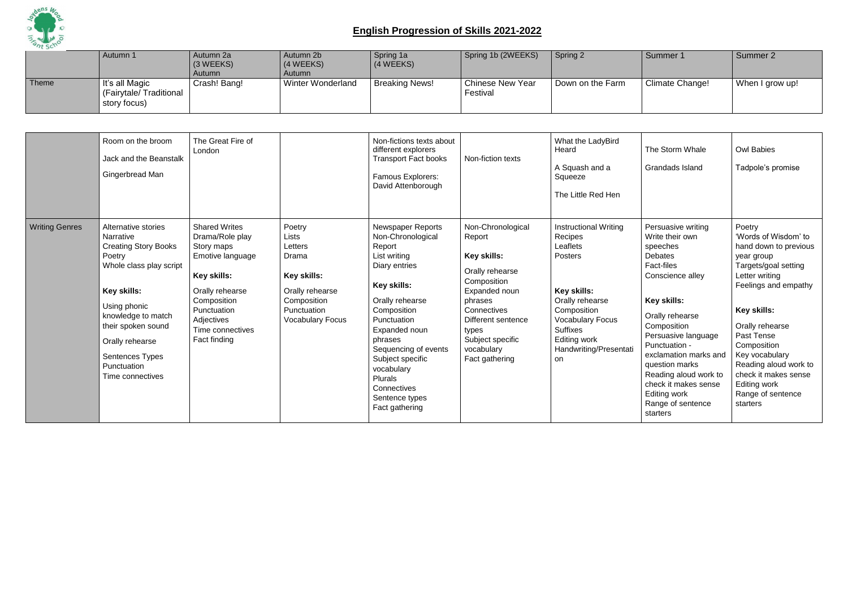

|       | Autumn 1                                                 | Autumn 2a<br>(3 WEEKS)<br>Autumn | Autumn 2b<br>$(4 \, \text{WEEKS})$<br>Autumn | Spring 1a<br>(4 WEEKS) | Spring 1b (2WEEKS)           | Spring 2         | Summer 1        | Summer 2        |
|-------|----------------------------------------------------------|----------------------------------|----------------------------------------------|------------------------|------------------------------|------------------|-----------------|-----------------|
| Theme | It's all Magic<br>(Fairytale/Traditional<br>story focus) | Crash! Bang!                     | Winter Wonderland                            | Breaking News!         | Chinese New Year<br>Festival | Down on the Farm | Climate Change! | When I grow up! |

|                       | Room on the broom<br>Jack and the Beanstalk<br>Gingerbread Man                                                                                                                                                                                           | The Great Fire of<br>London                                                                                                                                                                        |                                                                                                                                | Non-fictions texts about<br>different explorers<br><b>Transport Fact books</b><br>Famous Explorers:<br>David Attenborough                                                                                                                                                                             | Non-fiction texts                                                                                                                                                                                          | What the LadyBird<br>Heard<br>A Squash and a<br>Squeeze<br>The Little Red Hen                                                                                                                                | The Storm Whale<br>Grandads Island                                                                                                                                                                                                                                                                                                                 | <b>Owl Babies</b><br>Tadpole's promise                                                                                                                                                                                                                                                                                     |
|-----------------------|----------------------------------------------------------------------------------------------------------------------------------------------------------------------------------------------------------------------------------------------------------|----------------------------------------------------------------------------------------------------------------------------------------------------------------------------------------------------|--------------------------------------------------------------------------------------------------------------------------------|-------------------------------------------------------------------------------------------------------------------------------------------------------------------------------------------------------------------------------------------------------------------------------------------------------|------------------------------------------------------------------------------------------------------------------------------------------------------------------------------------------------------------|--------------------------------------------------------------------------------------------------------------------------------------------------------------------------------------------------------------|----------------------------------------------------------------------------------------------------------------------------------------------------------------------------------------------------------------------------------------------------------------------------------------------------------------------------------------------------|----------------------------------------------------------------------------------------------------------------------------------------------------------------------------------------------------------------------------------------------------------------------------------------------------------------------------|
| <b>Writing Genres</b> | Alternative stories<br>Narrative<br><b>Creating Story Books</b><br>Poetry<br>Whole class play script<br>Key skills:<br>Using phonic<br>knowledge to match<br>their spoken sound<br>Orally rehearse<br>Sentences Types<br>Punctuation<br>Time connectives | <b>Shared Writes</b><br>Drama/Role play<br>Story maps<br>Emotive language<br><b>Key skills:</b><br>Orally rehearse<br>Composition<br>Punctuation<br>Adjectives<br>Time connectives<br>Fact finding | Poetry<br>Lists<br>Letters<br>Drama<br>Key skills:<br>Orally rehearse<br>Composition<br>Punctuation<br><b>Vocabulary Focus</b> | Newspaper Reports<br>Non-Chronological<br>Report<br>List writing<br>Diary entries<br>Key skills:<br>Orally rehearse<br>Composition<br>Punctuation<br>Expanded noun<br>phrases<br>Sequencing of events<br>Subject specific<br>vocabulary<br>Plurals<br>Connectives<br>Sentence types<br>Fact gathering | Non-Chronological<br>Report<br>Key skills:<br>Orally rehearse<br>Composition<br>Expanded noun<br>phrases<br>Connectives<br>Different sentence<br>types<br>Subject specific<br>vocabulary<br>Fact gathering | Instructional Writing<br>Recipes<br>Leaflets<br><b>Posters</b><br>Key skills:<br>Orally rehearse<br>Composition<br><b>Vocabulary Focus</b><br><b>Suffixes</b><br>Editing work<br>Handwriting/Presentat<br>on | Persuasive writing<br>Write their own<br>speeches<br><b>Debates</b><br>Fact-files<br>Conscience alley<br>Key skills:<br>Orally rehearse<br>Composition<br>Persuasive language<br>Punctuation -<br>exclamation marks and<br>question marks<br>Reading aloud work to<br>check it makes sense<br><b>Editing work</b><br>Range of sentence<br>starters | Poetry<br>'Words of Wisdom' to<br>hand down to previous<br>year group<br>Targets/goal setting<br>Letter writing<br>Feelings and empathy<br>Key skills:<br>Orally rehearse<br>Past Tense<br>Composition<br>Key vocabulary<br>Reading aloud work to<br>check it makes sense<br>Editing work<br>Range of sentence<br>starters |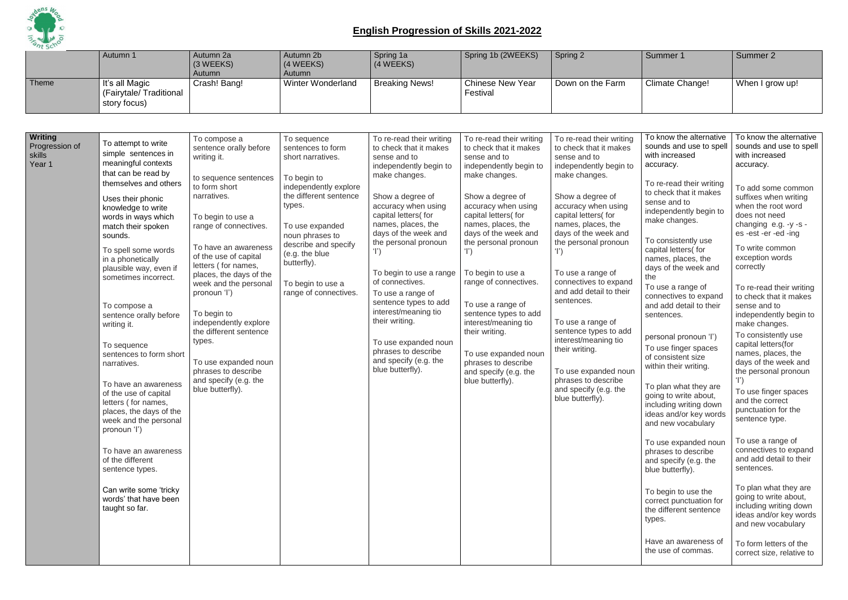

|                                                      | Autumn 1                                                                                                                                                                                                                                                                                                                                                                                                                                                                                                                                                                                                                                                                                                             | Autumn 2a<br>(3 WEEKS)<br>Autumn                                                                                                                                                                                                                                                                                                                                                                                                                                                 | Autumn 2b<br>(4 WEEKS)<br>Autumn                                                                                                                                                                                                                                               | Spring 1a<br>(4 WEEKS)                                                                                                                                                                                                                                                                                                                                                                                                                                                                  | Spring 1b (2WEEKS)                                                                                                                                                                                                                                                                                                                                                                                                                                                                                      | Spring 2                                                                                                                                                                                                                                                                                                                                                                                                                                                                                                                               | Summer 1                                                                                                                                                                                                                                                                                                                                                                                                                                                                                                                                                                                                                                                                                                                                                                                                                                                 | Summer 2                                                                                                                                                                                                                                                                                                                                                                                                                                                                                                                                                                                                                                                                                                                                                                                                                                                                   |
|------------------------------------------------------|----------------------------------------------------------------------------------------------------------------------------------------------------------------------------------------------------------------------------------------------------------------------------------------------------------------------------------------------------------------------------------------------------------------------------------------------------------------------------------------------------------------------------------------------------------------------------------------------------------------------------------------------------------------------------------------------------------------------|----------------------------------------------------------------------------------------------------------------------------------------------------------------------------------------------------------------------------------------------------------------------------------------------------------------------------------------------------------------------------------------------------------------------------------------------------------------------------------|--------------------------------------------------------------------------------------------------------------------------------------------------------------------------------------------------------------------------------------------------------------------------------|-----------------------------------------------------------------------------------------------------------------------------------------------------------------------------------------------------------------------------------------------------------------------------------------------------------------------------------------------------------------------------------------------------------------------------------------------------------------------------------------|---------------------------------------------------------------------------------------------------------------------------------------------------------------------------------------------------------------------------------------------------------------------------------------------------------------------------------------------------------------------------------------------------------------------------------------------------------------------------------------------------------|----------------------------------------------------------------------------------------------------------------------------------------------------------------------------------------------------------------------------------------------------------------------------------------------------------------------------------------------------------------------------------------------------------------------------------------------------------------------------------------------------------------------------------------|----------------------------------------------------------------------------------------------------------------------------------------------------------------------------------------------------------------------------------------------------------------------------------------------------------------------------------------------------------------------------------------------------------------------------------------------------------------------------------------------------------------------------------------------------------------------------------------------------------------------------------------------------------------------------------------------------------------------------------------------------------------------------------------------------------------------------------------------------------|----------------------------------------------------------------------------------------------------------------------------------------------------------------------------------------------------------------------------------------------------------------------------------------------------------------------------------------------------------------------------------------------------------------------------------------------------------------------------------------------------------------------------------------------------------------------------------------------------------------------------------------------------------------------------------------------------------------------------------------------------------------------------------------------------------------------------------------------------------------------------|
| Theme                                                | It's all Magic<br>(Fairytale/Traditional<br>story focus)                                                                                                                                                                                                                                                                                                                                                                                                                                                                                                                                                                                                                                                             | Crash! Bang!                                                                                                                                                                                                                                                                                                                                                                                                                                                                     | <b>Winter Wonderland</b>                                                                                                                                                                                                                                                       | <b>Breaking News!</b>                                                                                                                                                                                                                                                                                                                                                                                                                                                                   | <b>Chinese New Year</b><br>Festival                                                                                                                                                                                                                                                                                                                                                                                                                                                                     | Down on the Farm                                                                                                                                                                                                                                                                                                                                                                                                                                                                                                                       | <b>Climate Change!</b>                                                                                                                                                                                                                                                                                                                                                                                                                                                                                                                                                                                                                                                                                                                                                                                                                                   | When I grow up!                                                                                                                                                                                                                                                                                                                                                                                                                                                                                                                                                                                                                                                                                                                                                                                                                                                            |
|                                                      |                                                                                                                                                                                                                                                                                                                                                                                                                                                                                                                                                                                                                                                                                                                      |                                                                                                                                                                                                                                                                                                                                                                                                                                                                                  |                                                                                                                                                                                                                                                                                |                                                                                                                                                                                                                                                                                                                                                                                                                                                                                         |                                                                                                                                                                                                                                                                                                                                                                                                                                                                                                         |                                                                                                                                                                                                                                                                                                                                                                                                                                                                                                                                        |                                                                                                                                                                                                                                                                                                                                                                                                                                                                                                                                                                                                                                                                                                                                                                                                                                                          |                                                                                                                                                                                                                                                                                                                                                                                                                                                                                                                                                                                                                                                                                                                                                                                                                                                                            |
| <b>Writing</b><br>Progression of<br>skills<br>Year 1 | To attempt to write<br>simple sentences in<br>meaningful contexts<br>that can be read by<br>themselves and others<br>Uses their phonic<br>knowledge to write<br>words in ways which<br>match their spoken<br>sounds.<br>To spell some words<br>in a phonetically<br>plausible way, even if<br>sometimes incorrect.<br>To compose a<br>sentence orally before<br>writing it.<br>To sequence<br>sentences to form short<br>narratives.<br>To have an awareness<br>of the use of capital<br>letters (for names,<br>places, the days of the<br>week and the personal<br>pronoun 'l')<br>To have an awareness<br>of the different<br>sentence types.<br>Can write some 'tricky<br>words' that have been<br>taught so far. | To compose a<br>sentence orally before<br>writing it.<br>to sequence sentences<br>to form short<br>narratives.<br>To begin to use a<br>range of connectives.<br>To have an awareness<br>of the use of capital<br>letters (for names,<br>places, the days of the<br>week and the personal<br>pronoun 'l')<br>To begin to<br>independently explore<br>the different sentence<br>types.<br>To use expanded noun<br>phrases to describe<br>and specify (e.g. the<br>blue butterfly). | To sequence<br>sentences to form<br>short narratives.<br>To begin to<br>independently explore<br>the different sentence<br>types.<br>To use expanded<br>noun phrases to<br>describe and specify<br>(e.g. the blue<br>butterfly).<br>To begin to use a<br>range of connectives. | To re-read their writing<br>to check that it makes<br>sense and to<br>independently begin to<br>make changes.<br>Show a degree of<br>accuracy when using<br>capital letters(for<br>names, places, the<br>days of the week and<br>the personal pronoun<br>To begin to use a range<br>of connectives.<br>To use a range of<br>sentence types to add<br>interest/meaning tio<br>their writing.<br>To use expanded noun<br>phrases to describe<br>and specify (e.g. the<br>blue butterfly). | To re-read their writing<br>to check that it makes<br>sense and to<br>independently begin to<br>make changes.<br>Show a degree of<br>accuracy when using<br>capital letters(for<br>names, places, the<br>days of the week and<br>the personal pronoun<br>$\mathbf{T}$<br>To begin to use a<br>range of connectives.<br>To use a range of<br>sentence types to add<br>interest/meaning tio<br>their writing.<br>To use expanded noun<br>phrases to describe<br>and specify (e.g. the<br>blue butterfly). | To re-read their writing<br>to check that it makes<br>sense and to<br>independently begin to<br>make changes.<br>Show a degree of<br>accuracy when using<br>capital letters(for<br>names, places, the<br>days of the week and<br>the personal pronoun<br>T)<br>To use a range of<br>connectives to expand<br>and add detail to their<br>sentences.<br>To use a range of<br>sentence types to add<br>interest/meaning tio<br>their writing.<br>To use expanded noun<br>phrases to describe<br>and specify (e.g. the<br>blue butterfly). | To know the alternative<br>sounds and use to spell<br>with increased<br>accuracy.<br>To re-read their writing<br>to check that it makes<br>sense and to<br>independently begin to<br>make changes.<br>To consistently use<br>capital letters(for<br>names, places, the<br>days of the week and<br>the<br>To use a range of<br>connectives to expand<br>and add detail to their<br>sentences.<br>personal pronoun 'l')<br>To use finger spaces<br>of consistent size<br>within their writing.<br>To plan what they are<br>going to write about,<br>including writing down<br>ideas and/or key words<br>and new vocabulary<br>To use expanded noun<br>phrases to describe<br>and specify (e.g. the<br>blue butterfly).<br>To begin to use the<br>correct punctuation for<br>the different sentence<br>types.<br>Have an awareness of<br>the use of commas. | To know the alternative<br>sounds and use to spell<br>with increased<br>accuracy.<br>To add some common<br>suffixes when writing<br>when the root word<br>does not need<br>changing e.g. -y -s -<br>es-est-er-ed-ing<br>To write common<br>exception words<br>correctly<br>To re-read their writing<br>to check that it makes<br>sense and to<br>independently begin to<br>make changes.<br>To consistently use<br>capital letters(for<br>names, places, the<br>days of the week and<br>the personal pronoun<br>To use finger spaces<br>and the correct<br>punctuation for the<br>sentence type.<br>To use a range of<br>connectives to expand<br>and add detail to their<br>sentences.<br>To plan what they are<br>going to write about,<br>including writing down<br>ideas and/or key words<br>and new vocabulary<br>To form letters of the<br>correct size, relative to |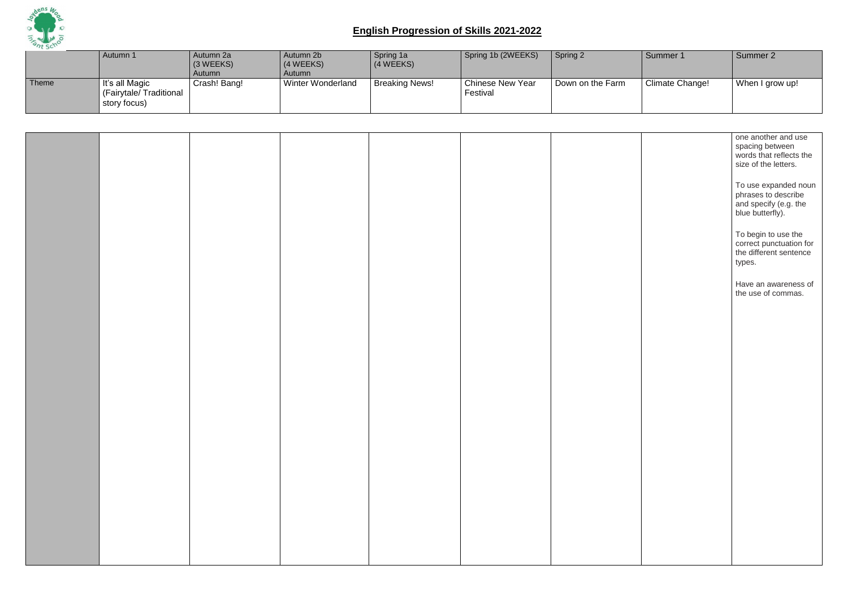

|       | Autumn 1                                                 | Autumn 2a<br>(3 WEEKS)<br>Autumn | Autumn 2b<br>$(4 \, \text{WEEKS})$<br>Autumn | Spring 1a<br>(4 WEEKS) | Spring 1b (2WEEKS)                  | Spring 2         | Summer 1        | Summer 2        |
|-------|----------------------------------------------------------|----------------------------------|----------------------------------------------|------------------------|-------------------------------------|------------------|-----------------|-----------------|
| Theme | It's all Magic<br>(Fairytale/Traditional<br>story focus) | Crash! Bang!                     | <b>Winter Wonderland</b>                     | <b>Breaking News!</b>  | <b>Chinese New Year</b><br>Festival | Down on the Farm | Climate Change! | When I grow up! |

|  |  |  | one another and use                            |
|--|--|--|------------------------------------------------|
|  |  |  | spacing between<br>words that reflects the     |
|  |  |  | size of the letters.                           |
|  |  |  |                                                |
|  |  |  | To use expanded noun<br>phrases to describe    |
|  |  |  |                                                |
|  |  |  | and specify (e.g. the<br>blue butterfly).      |
|  |  |  |                                                |
|  |  |  |                                                |
|  |  |  | To begin to use the<br>correct punctuation for |
|  |  |  | the different sentence                         |
|  |  |  | types.                                         |
|  |  |  |                                                |
|  |  |  | Have an awareness of<br>the use of commas.     |
|  |  |  |                                                |
|  |  |  |                                                |
|  |  |  |                                                |
|  |  |  |                                                |
|  |  |  |                                                |
|  |  |  |                                                |
|  |  |  |                                                |
|  |  |  |                                                |
|  |  |  |                                                |
|  |  |  |                                                |
|  |  |  |                                                |
|  |  |  |                                                |
|  |  |  |                                                |
|  |  |  |                                                |
|  |  |  |                                                |
|  |  |  |                                                |
|  |  |  |                                                |
|  |  |  |                                                |
|  |  |  |                                                |
|  |  |  |                                                |
|  |  |  |                                                |
|  |  |  |                                                |
|  |  |  |                                                |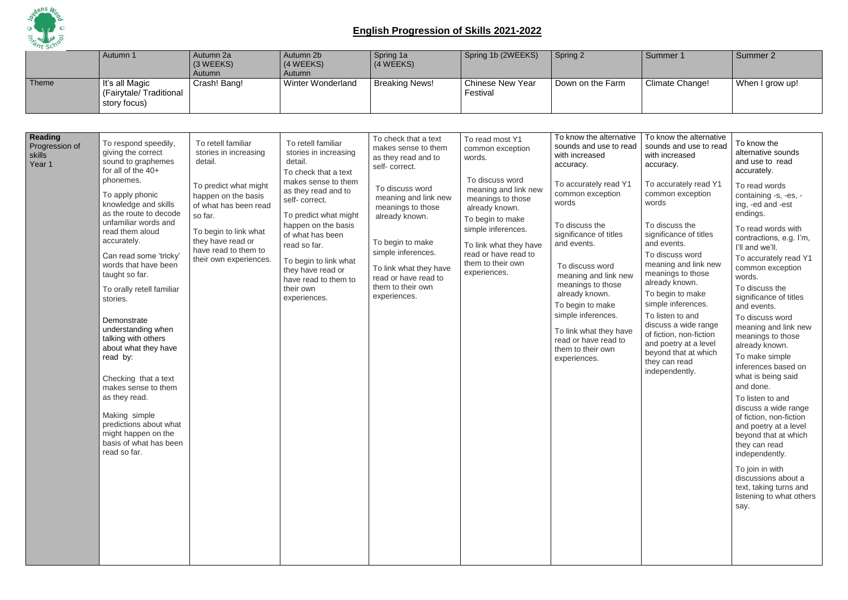

|                                                      | Autumn 1                                                                                                                                                                                                                                                                                                                                                                                                                                                                                                                                                                                                                    | Autumn 2a<br>(3 WEEKS)<br>Autumn                                                                                                                                                                                                           | Autumn 2b<br>(4 WEEKS)<br>Autumn                                                                                                                                                                                                                                                                                                     | Spring 1a<br>(4 WEEKS)                                                                                                                                                                                                                                                                                 | Spring 1b (2WEEKS)                                                                                                                                                                                                                                               | Spring 2                                                                                                                                                                                                                                                                                                                                                                                                             | Summer 1                                                                                                                                                                                                                                                                                                                                                                                                                                                                                 | Summer 2                                                                                                                                                                                                                                                                                                                                                                                                                                                                                                                                                                                                                                                                                                                                                              |
|------------------------------------------------------|-----------------------------------------------------------------------------------------------------------------------------------------------------------------------------------------------------------------------------------------------------------------------------------------------------------------------------------------------------------------------------------------------------------------------------------------------------------------------------------------------------------------------------------------------------------------------------------------------------------------------------|--------------------------------------------------------------------------------------------------------------------------------------------------------------------------------------------------------------------------------------------|--------------------------------------------------------------------------------------------------------------------------------------------------------------------------------------------------------------------------------------------------------------------------------------------------------------------------------------|--------------------------------------------------------------------------------------------------------------------------------------------------------------------------------------------------------------------------------------------------------------------------------------------------------|------------------------------------------------------------------------------------------------------------------------------------------------------------------------------------------------------------------------------------------------------------------|----------------------------------------------------------------------------------------------------------------------------------------------------------------------------------------------------------------------------------------------------------------------------------------------------------------------------------------------------------------------------------------------------------------------|------------------------------------------------------------------------------------------------------------------------------------------------------------------------------------------------------------------------------------------------------------------------------------------------------------------------------------------------------------------------------------------------------------------------------------------------------------------------------------------|-----------------------------------------------------------------------------------------------------------------------------------------------------------------------------------------------------------------------------------------------------------------------------------------------------------------------------------------------------------------------------------------------------------------------------------------------------------------------------------------------------------------------------------------------------------------------------------------------------------------------------------------------------------------------------------------------------------------------------------------------------------------------|
| Theme                                                | It's all Magic<br>(Fairytale/Traditional<br>story focus)                                                                                                                                                                                                                                                                                                                                                                                                                                                                                                                                                                    | Crash! Bang!                                                                                                                                                                                                                               | <b>Winter Wonderland</b>                                                                                                                                                                                                                                                                                                             | <b>Breaking News!</b>                                                                                                                                                                                                                                                                                  | <b>Chinese New Year</b><br>Festival                                                                                                                                                                                                                              | Down on the Farm                                                                                                                                                                                                                                                                                                                                                                                                     | Climate Change!                                                                                                                                                                                                                                                                                                                                                                                                                                                                          | When I grow up!                                                                                                                                                                                                                                                                                                                                                                                                                                                                                                                                                                                                                                                                                                                                                       |
|                                                      |                                                                                                                                                                                                                                                                                                                                                                                                                                                                                                                                                                                                                             |                                                                                                                                                                                                                                            |                                                                                                                                                                                                                                                                                                                                      |                                                                                                                                                                                                                                                                                                        |                                                                                                                                                                                                                                                                  |                                                                                                                                                                                                                                                                                                                                                                                                                      |                                                                                                                                                                                                                                                                                                                                                                                                                                                                                          |                                                                                                                                                                                                                                                                                                                                                                                                                                                                                                                                                                                                                                                                                                                                                                       |
| <b>Reading</b><br>Progression of<br>skills<br>Year 1 | To respond speedily,<br>giving the correct<br>sound to graphemes<br>for all of the 40+<br>phonemes.<br>To apply phonic<br>knowledge and skills<br>as the route to decode<br>unfamiliar words and<br>read them aloud<br>accurately.<br>Can read some 'tricky'<br>words that have been<br>taught so far.<br>To orally retell familiar<br>stories.<br>Demonstrate<br>understanding when<br>talking with others<br>about what they have<br>read by:<br>Checking that a text<br>makes sense to them<br>as they read.<br>Making simple<br>predictions about what<br>might happen on the<br>basis of what has been<br>read so far. | To retell familiar<br>stories in increasing<br>detail.<br>To predict what might<br>happen on the basis<br>of what has been read<br>so far.<br>To begin to link what<br>they have read or<br>have read to them to<br>their own experiences. | To retell familiar<br>stories in increasing<br>detail.<br>To check that a text<br>makes sense to them<br>as they read and to<br>self-correct.<br>To predict what might<br>happen on the basis<br>of what has been<br>read so far.<br>To begin to link what<br>they have read or<br>have read to them to<br>their own<br>experiences. | To check that a text<br>makes sense to them<br>as they read and to<br>self-correct.<br>To discuss word<br>meaning and link new<br>meanings to those<br>already known.<br>To begin to make<br>simple inferences.<br>To link what they have<br>read or have read to<br>them to their own<br>experiences. | To read most Y1<br>common exception<br>words.<br>To discuss word<br>meaning and link new<br>meanings to those<br>already known.<br>To begin to make<br>simple inferences.<br>To link what they have<br>read or have read to<br>them to their own<br>experiences. | To know the alternative<br>sounds and use to read<br>with increased<br>accuracy.<br>To accurately read Y1<br>common exception<br>words<br>To discuss the<br>significance of titles<br>and events.<br>To discuss word<br>meaning and link new<br>meanings to those<br>already known.<br>To begin to make<br>simple inferences.<br>To link what they have<br>read or have read to<br>them to their own<br>experiences. | To know the alternative<br>sounds and use to read<br>with increased<br>accuracy.<br>To accurately read Y1<br>common exception<br>words<br>To discuss the<br>significance of titles<br>and events.<br>To discuss word<br>meaning and link new<br>meanings to those<br>already known.<br>To begin to make<br>simple inferences.<br>To listen to and<br>discuss a wide range<br>of fiction, non-fiction<br>and poetry at a level<br>beyond that at which<br>they can read<br>independently. | To know the<br>alternative sounds<br>and use to read<br>accurately.<br>To read words<br>containing -s, -es, -<br>ing, -ed and -est<br>endings.<br>To read words with<br>contractions, e.g. I'm,<br>I'll and we'll.<br>To accurately read Y1<br>common exception<br>words.<br>To discuss the<br>significance of titles<br>and events.<br>To discuss word<br>meaning and link new<br>meanings to those<br>already known.<br>To make simple<br>inferences based on<br>what is being said<br>and done.<br>To listen to and<br>discuss a wide range<br>of fiction, non-fiction<br>and poetry at a level<br>beyond that at which<br>they can read<br>independently.<br>To join in with<br>discussions about a<br>text, taking turns and<br>listening to what others<br>say. |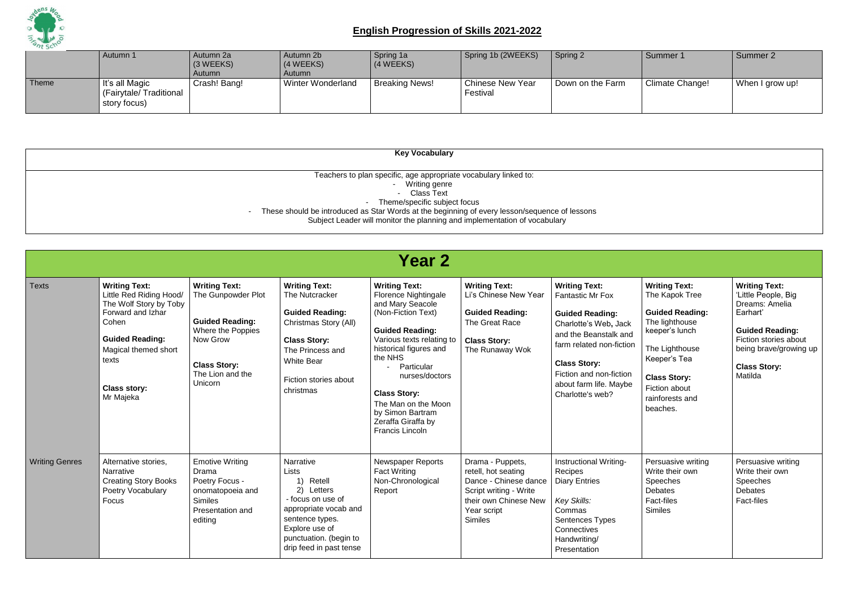

|       | Autumn 1                                                 | Autumn 2a<br>$(3 \, \text{WEEKS})$<br>Autumn | Autumn 2b<br>(4 WEEKS)<br>Autumn | Spring 1a<br>$(4 \, \text{WEEKS})$ | Spring 1b (2WEEKS)                  | Spring 2         | Summer 1        | Summer 2        |
|-------|----------------------------------------------------------|----------------------------------------------|----------------------------------|------------------------------------|-------------------------------------|------------------|-----------------|-----------------|
| Theme | It's all Magic<br>(Fairytale/Traditional<br>story focus) | Crash! Bang!                                 | <b>Winter Wonderland</b>         | <b>Breaking News!</b>              | <b>Chinese New Year</b><br>Festival | Down on the Farm | Climate Change! | When I grow up! |

| <b>Key Vocabulary</b>                                                                         |
|-----------------------------------------------------------------------------------------------|
|                                                                                               |
| Teachers to plan specific, age appropriate vocabulary linked to:                              |
| Writing genre                                                                                 |
| Class Text<br>$\blacksquare$                                                                  |
| Theme/specific subject focus<br>$\overline{\phantom{a}}$                                      |
| These should be introduced as Star Words at the beginning of every lesson/sequence of lessons |
| Subject Leader will monitor the planning and implementation of vocabulary                     |

|                       | <b>Year 2</b>                                                                                                                                                                                          |                                                                                                                                                             |                                                                                                                                                                                                 |                                                                                                                                                                                                                                                                                                                               |                                                                                                                                                      |                                                                                                                                                                                                                                                         |                                                                                                                                                                                                               |                                                                                                                                                                                          |  |
|-----------------------|--------------------------------------------------------------------------------------------------------------------------------------------------------------------------------------------------------|-------------------------------------------------------------------------------------------------------------------------------------------------------------|-------------------------------------------------------------------------------------------------------------------------------------------------------------------------------------------------|-------------------------------------------------------------------------------------------------------------------------------------------------------------------------------------------------------------------------------------------------------------------------------------------------------------------------------|------------------------------------------------------------------------------------------------------------------------------------------------------|---------------------------------------------------------------------------------------------------------------------------------------------------------------------------------------------------------------------------------------------------------|---------------------------------------------------------------------------------------------------------------------------------------------------------------------------------------------------------------|------------------------------------------------------------------------------------------------------------------------------------------------------------------------------------------|--|
| <b>Texts</b>          | <b>Writing Text:</b><br>Little Red Riding Hood/<br>The Wolf Story by Toby<br>Forward and Izhar<br>Cohen<br><b>Guided Reading:</b><br>Magical themed short<br>texts<br><b>Class story:</b><br>Mr Majeka | <b>Writing Text:</b><br>The Gunpowder Plot<br><b>Guided Reading:</b><br>Where the Poppies<br>Now Grow<br><b>Class Story:</b><br>The Lion and the<br>Unicorn | <b>Writing Text:</b><br>The Nutcracker<br><b>Guided Reading:</b><br>Christmas Story (All)<br><b>Class Story:</b><br>The Princess and<br><b>White Bear</b><br>Fiction stories about<br>christmas | <b>Writing Text:</b><br>Florence Nightingale<br>and Mary Seacole<br>(Non-Fiction Text)<br><b>Guided Reading:</b><br>Various texts relating to<br>historical figures and<br>the NHS<br>Particular<br>nurses/doctors<br><b>Class Story:</b><br>The Man on the Moon<br>by Simon Bartram<br>Zeraffa Giraffa by<br>Francis Lincoln | <b>Writing Text:</b><br>Li's Chinese New Year<br><b>Guided Reading:</b><br>The Great Race<br><b>Class Story:</b><br>The Runaway Wok                  | <b>Writing Text:</b><br><b>Fantastic Mr Fox</b><br><b>Guided Reading:</b><br>Charlotte's Web, Jack<br>and the Beanstalk and<br>farm related non-fiction<br><b>Class Story:</b><br>Fiction and non-fiction<br>about farm life. Maybe<br>Charlotte's web? | <b>Writing Text:</b><br>The Kapok Tree<br><b>Guided Reading:</b><br>The lighthouse<br>keeper's lunch<br>The Lighthouse<br>Keeper's Tea<br><b>Class Story:</b><br>Fiction about<br>rainforests and<br>beaches. | <b>Writing Text:</b><br>'Little People, Big<br>Dreams: Amelia<br>Earhart'<br><b>Guided Reading:</b><br>Fiction stories about<br>being brave/growing up<br><b>Class Story:</b><br>Matilda |  |
| <b>Writing Genres</b> | Alternative stories,<br>Narrative<br><b>Creating Story Books</b><br>Poetry Vocabulary<br>Focus                                                                                                         | <b>Emotive Writing</b><br>Drama<br>Poetry Focus -<br>onomatopoeia and<br><b>Similes</b><br>Presentation and<br>editing                                      | Narrative<br>Lists<br>Retell<br>2) Letters<br>- focus on use of<br>appropriate vocab and<br>sentence types.<br>Explore use of<br>punctuation. (begin to<br>drip feed in past tense              | <b>Newspaper Reports</b><br><b>Fact Writing</b><br>Non-Chronological<br>Report                                                                                                                                                                                                                                                | Drama - Puppets,<br>retell, hot seating<br>Dance - Chinese dance<br>Script writing - Write<br>their own Chinese New<br>Year script<br><b>Similes</b> | Instructional Writing-<br>Recipes<br><b>Diary Entries</b><br>Key Skills:<br>Commas<br>Sentences Types<br>Connectives<br>Handwriting/<br>Presentation                                                                                                    | Persuasive writing<br>Write their own<br><b>Speeches</b><br><b>Debates</b><br>Fact-files<br><b>Similes</b>                                                                                                    | Persuasive writing<br>Write their own<br>Speeches<br><b>Debates</b><br>Fact-files                                                                                                        |  |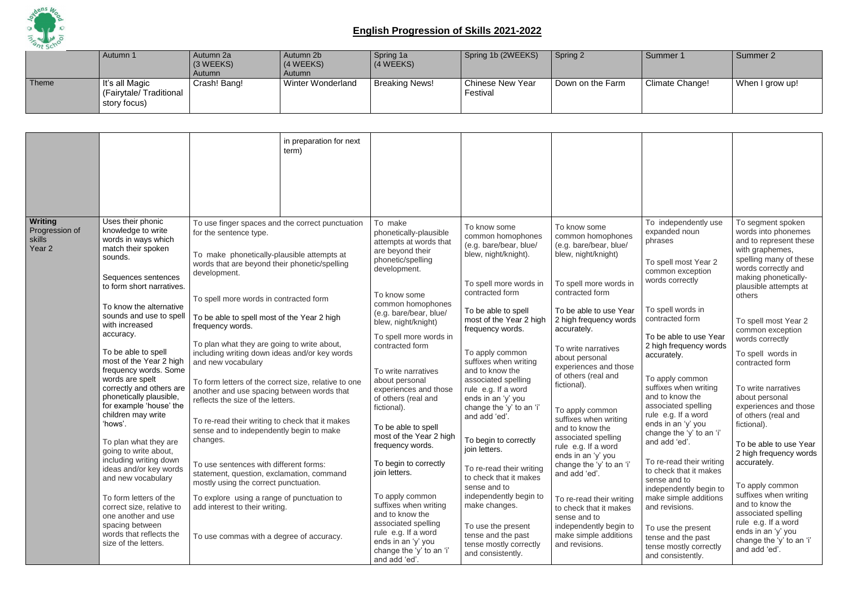

|       | Autumn 1                                                         | Autumn 2a<br>(3 WEEKS)<br>Autumn | Autumn 2b<br>(4 WEEKS)<br>Autumn | Spring 1a<br>$(4 \, \text{WEEKS})$ | Spring 1b (2WEEKS)           | Spring 2         | Summer 1        | Summer 2        |
|-------|------------------------------------------------------------------|----------------------------------|----------------------------------|------------------------------------|------------------------------|------------------|-----------------|-----------------|
| Theme | $\vert$ It's all Magic<br>(Fairytale/Traditional<br>story focus) | Crash! Bang!                     | <b>Winter Wonderland</b>         | <b>Breaking News!</b>              | Chinese New Year<br>Festival | Down on the Farm | Climate Change! | When I grow up! |

|                                                          |                                                                                                                                                                                                                                                                                                                                                                                                                                                                                                   |                                                                                                                                                                                                                                                                                                                                                                                                                                                                                                                                                                                                                                                             | in preparation for next<br>term) |                                                                                                                                                                                                                                                                                                                                                                                                        |                                                                                                                                                                                                                                                                                                                                                                                                               |                                                                                                                                                                                                                                                                                                                                                                                                                               |                                                                                                                                                                                                                                                                                                                                                                                                                                    |                                                                                                                                                                                                                                                                                                                                                                                             |
|----------------------------------------------------------|---------------------------------------------------------------------------------------------------------------------------------------------------------------------------------------------------------------------------------------------------------------------------------------------------------------------------------------------------------------------------------------------------------------------------------------------------------------------------------------------------|-------------------------------------------------------------------------------------------------------------------------------------------------------------------------------------------------------------------------------------------------------------------------------------------------------------------------------------------------------------------------------------------------------------------------------------------------------------------------------------------------------------------------------------------------------------------------------------------------------------------------------------------------------------|----------------------------------|--------------------------------------------------------------------------------------------------------------------------------------------------------------------------------------------------------------------------------------------------------------------------------------------------------------------------------------------------------------------------------------------------------|---------------------------------------------------------------------------------------------------------------------------------------------------------------------------------------------------------------------------------------------------------------------------------------------------------------------------------------------------------------------------------------------------------------|-------------------------------------------------------------------------------------------------------------------------------------------------------------------------------------------------------------------------------------------------------------------------------------------------------------------------------------------------------------------------------------------------------------------------------|------------------------------------------------------------------------------------------------------------------------------------------------------------------------------------------------------------------------------------------------------------------------------------------------------------------------------------------------------------------------------------------------------------------------------------|---------------------------------------------------------------------------------------------------------------------------------------------------------------------------------------------------------------------------------------------------------------------------------------------------------------------------------------------------------------------------------------------|
| Writing<br>Progression of<br>skills<br>Year <sub>2</sub> | Uses their phonic<br>knowledge to write<br>words in ways which<br>match their spoken<br>sounds.<br>Sequences sentences<br>to form short narratives.                                                                                                                                                                                                                                                                                                                                               | To use finger spaces and the correct punctuation<br>for the sentence type.<br>To make phonetically-plausible attempts at<br>words that are beyond their phonetic/spelling<br>development.<br>To spell more words in contracted form                                                                                                                                                                                                                                                                                                                                                                                                                         |                                  | To make<br>phonetically-plausible<br>attempts at words that<br>are beyond their<br>phonetic/spelling<br>development.<br>To know some                                                                                                                                                                                                                                                                   | To know some<br>common homophones<br>(e.g. bare/bear, blue/<br>blew, night/knight).<br>To spell more words in<br>contracted form                                                                                                                                                                                                                                                                              | To know some<br>common homophones<br>(e.g. bare/bear, blue/<br>blew, night/knight)<br>To spell more words in<br>contracted form                                                                                                                                                                                                                                                                                               | To independently use<br>expanded noun<br>phrases<br>To spell most Year 2<br>common exception<br>words correctly                                                                                                                                                                                                                                                                                                                    | To segment spoken<br>words into phonemes<br>and to represent these<br>with graphemes,<br>spelling many of these<br>words correctly and<br>making phonetically-<br>plausible attempts at<br>others                                                                                                                                                                                           |
| 'hows'.                                                  | To know the alternative<br>sounds and use to spell<br>with increased<br>accuracy.<br>To be able to spell<br>most of the Year 2 high<br>frequency words. Some<br>words are spelt<br>correctly and others are<br>phonetically plausible,<br>for example 'house' the<br>children may write<br>To plan what they are<br>going to write about,<br>including writing down<br>ideas and/or key words<br>and new vocabulary<br>To form letters of the<br>correct size, relative to<br>one another and use | To be able to spell most of the Year 2 high<br>frequency words.<br>To plan what they are going to write about,<br>including writing down ideas and/or key words<br>and new vocabulary<br>To form letters of the correct size, relative to one<br>another and use spacing between words that<br>reflects the size of the letters.<br>To re-read their writing to check that it makes<br>sense and to independently begin to make<br>changes.<br>To use sentences with different forms:<br>statement, question, exclamation, command<br>mostly using the correct punctuation.<br>To explore using a range of punctuation to<br>add interest to their writing. |                                  | common homophones<br>(e.g. bare/bear, blue/<br>blew, night/knight)<br>To spell more words in<br>contracted form<br>To write narratives<br>about personal<br>experiences and those<br>of others (real and<br>fictional).<br>To be able to spell<br>most of the Year 2 high<br>frequency words.<br>To begin to correctly<br>join letters.<br>To apply common<br>suffixes when writing<br>and to know the | To be able to spell<br>most of the Year 2 high<br>frequency words.<br>To apply common<br>suffixes when writing<br>and to know the<br>associated spelling<br>rule e.g. If a word<br>ends in an 'y' you<br>change the 'y' to an 'i'<br>and add 'ed'.<br>To begin to correctly<br>join letters.<br>To re-read their writing<br>to check that it makes<br>sense and to<br>independently begin to<br>make changes. | To be able to use Year<br>2 high frequency words<br>accurately.<br>To write narratives<br>about personal<br>experiences and those<br>of others (real and<br>fictional).<br>To apply common<br>suffixes when writing<br>and to know the<br>associated spelling<br>rule e.g. If a word<br>ends in an 'y' you<br>change the 'y' to an 'i'<br>and add 'ed'.<br>To re-read their writing<br>to check that it makes<br>sense and to | To spell words in<br>contracted form<br>To be able to use Year<br>2 high frequency words<br>accurately.<br>To apply common<br>suffixes when writing<br>and to know the<br>associated spelling<br>rule e.g. If a word<br>ends in an 'y' you<br>change the 'y' to an 'i'<br>and add 'ed'.<br>To re-read their writing<br>to check that it makes<br>sense and to<br>independently begin to<br>make simple additions<br>and revisions. | To spell most Year 2<br>common exception<br>words correctly<br>To spell words in<br>contracted form<br>To write narratives<br>about personal<br>experiences and those<br>of others (real and<br>fictional).<br>To be able to use Year<br>2 high frequency words<br>accurately.<br>To apply common<br>suffixes when writing<br>and to know the<br>associated spelling<br>rule e.g. If a word |
|                                                          | spacing between<br>words that reflects the<br>size of the letters.                                                                                                                                                                                                                                                                                                                                                                                                                                | To use commas with a degree of accuracy.                                                                                                                                                                                                                                                                                                                                                                                                                                                                                                                                                                                                                    |                                  | associated spelling<br>rule e.g. If a word<br>ends in an 'y' you<br>change the 'y' to an 'i'<br>and add 'ed'.                                                                                                                                                                                                                                                                                          | To use the present<br>tense and the past<br>tense mostly correctly<br>and consistently.                                                                                                                                                                                                                                                                                                                       | independently begin to<br>make simple additions<br>and revisions.                                                                                                                                                                                                                                                                                                                                                             | To use the present<br>tense and the past<br>tense mostly correctly<br>and consistently.                                                                                                                                                                                                                                                                                                                                            | ends in an 'y' you<br>change the 'y' to an 'i'<br>and add 'ed'.                                                                                                                                                                                                                                                                                                                             |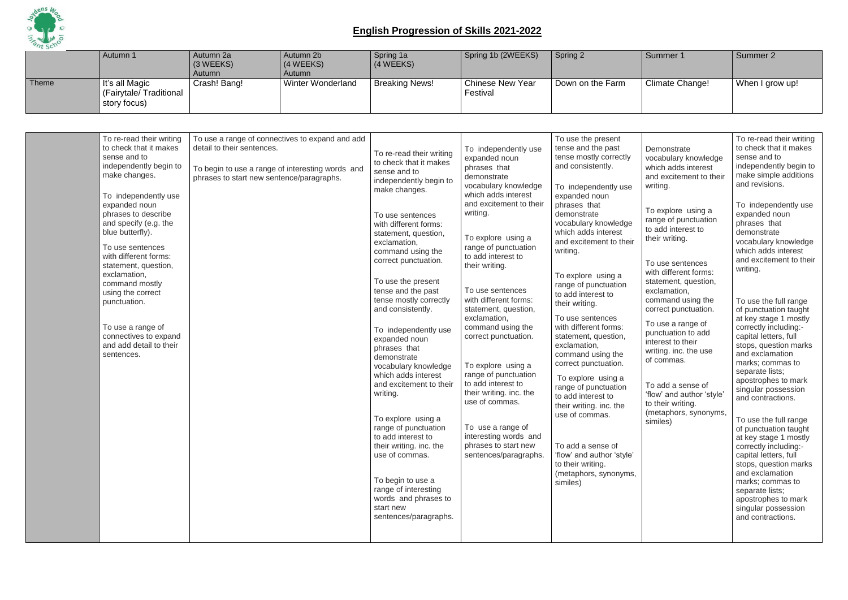

|       | Autumn 1                                                 | Autumn 2a<br>$(3 \, \text{WEEKS})$<br>Autumn | Autumn 2b<br>$(4 \, \text{WEEKS})$<br><b>Autumn</b> | Spring 1a<br>(4 WEEKS) | Spring 1b (2WEEKS)           | Spring 2         | Summer 1        | Summer 2        |
|-------|----------------------------------------------------------|----------------------------------------------|-----------------------------------------------------|------------------------|------------------------------|------------------|-----------------|-----------------|
| Theme | It's all Magic<br>(Fairytale/Traditional<br>story focus) | Crash! Bang!                                 | Winter Wonderland                                   | <b>Breaking News!</b>  | Chinese New Year<br>Festival | Down on the Farm | Climate Change! | When I grow up! |

| To re-read their writing<br>to check that it makes<br>sense and to<br>independently begin to<br>make changes.<br>To independently use<br>expanded noun<br>phrases to describe<br>and specify (e.g. the<br>blue butterfly).<br>To use sentences<br>with different forms:<br>statement, question,<br>exclamation,<br>command mostly<br>using the correct<br>punctuation.<br>To use a range of<br>connectives to expand<br>and add detail to their<br>sentences. | To use a range of connectives to expand and add<br>detail to their sentences.<br>To begin to use a range of interesting words and<br>phrases to start new sentence/paragraphs. | To re-read their writing<br>to check that it makes<br>sense and to<br>independently begin to<br>make changes.<br>To use sentences<br>with different forms:<br>statement, question,<br>exclamation,<br>command using the<br>correct punctuation.<br>To use the present<br>tense and the past<br>tense mostly correctly<br>and consistently.<br>To independently use<br>expanded noun<br>phrases that<br>demonstrate<br>vocabulary knowledge<br>which adds interest<br>and excitement to their<br>writing.<br>To explore using a<br>range of punctuation<br>to add interest to<br>their writing. inc. the<br>use of commas.<br>To begin to use a<br>range of interesting<br>words and phrases to<br>start new<br>sentences/paragraphs. | To independently use<br>expanded noun<br>phrases that<br>demonstrate<br>vocabulary knowledge<br>which adds interest<br>and excitement to their<br>writing.<br>To explore using a<br>range of punctuation<br>to add interest to<br>their writing.<br>To use sentences<br>with different forms:<br>statement, question,<br>exclamation,<br>command using the<br>correct punctuation.<br>To explore using a<br>range of punctuation<br>to add interest to<br>their writing. inc. the<br>use of commas.<br>To use a range of<br>interesting words and<br>phrases to start new<br>sentences/paragraphs. | To use the present<br>tense and the past<br>tense mostly correctly<br>and consistently.<br>To independently use<br>expanded noun<br>phrases that<br>demonstrate<br>vocabulary knowledge<br>which adds interest<br>and excitement to their<br>writing.<br>To explore using a<br>range of punctuation<br>to add interest to<br>their writing.<br>To use sentences<br>with different forms:<br>statement, question,<br>exclamation,<br>command using the<br>correct punctuation.<br>To explore using a<br>range of punctuation<br>to add interest to<br>their writing. inc. the<br>use of commas.<br>To add a sense of<br>'flow' and author 'style'<br>to their writing.<br>(metaphors, synonyms,<br>similes) | Demonstrate<br>vocabulary knowledge<br>which adds interest<br>and excitement to their<br>writing.<br>To explore using a<br>range of punctuation<br>to add interest to<br>their writing.<br>To use sentences<br>with different forms:<br>statement, question,<br>exclamation,<br>command using the<br>correct punctuation.<br>To use a range of<br>punctuation to add<br>interest to their<br>writing. inc. the use<br>of commas.<br>To add a sense of<br>'flow' and author 'style'<br>to their writing.<br>(metaphors, synonyms,<br>similes) | To re-read their writing<br>to check that it makes<br>sense and to<br>independently begin to<br>make simple additions<br>and revisions.<br>To independently use<br>expanded noun<br>phrases that<br>demonstrate<br>vocabulary knowledge<br>which adds interest<br>and excitement to their<br>writing.<br>To use the full range<br>of punctuation taught<br>at key stage 1 mostly<br>correctly including:-<br>capital letters, full<br>stops, question marks<br>and exclamation<br>marks; commas to<br>separate lists;<br>apostrophes to mark<br>singular possession<br>and contractions.<br>To use the full range<br>of punctuation taught<br>at key stage 1 mostly<br>correctly including:-<br>capital letters, full<br>stops, question marks<br>and exclamation<br>marks; commas to<br>separate lists;<br>apostrophes to mark<br>singular possession<br>and contractions. |
|---------------------------------------------------------------------------------------------------------------------------------------------------------------------------------------------------------------------------------------------------------------------------------------------------------------------------------------------------------------------------------------------------------------------------------------------------------------|--------------------------------------------------------------------------------------------------------------------------------------------------------------------------------|--------------------------------------------------------------------------------------------------------------------------------------------------------------------------------------------------------------------------------------------------------------------------------------------------------------------------------------------------------------------------------------------------------------------------------------------------------------------------------------------------------------------------------------------------------------------------------------------------------------------------------------------------------------------------------------------------------------------------------------|----------------------------------------------------------------------------------------------------------------------------------------------------------------------------------------------------------------------------------------------------------------------------------------------------------------------------------------------------------------------------------------------------------------------------------------------------------------------------------------------------------------------------------------------------------------------------------------------------|------------------------------------------------------------------------------------------------------------------------------------------------------------------------------------------------------------------------------------------------------------------------------------------------------------------------------------------------------------------------------------------------------------------------------------------------------------------------------------------------------------------------------------------------------------------------------------------------------------------------------------------------------------------------------------------------------------|----------------------------------------------------------------------------------------------------------------------------------------------------------------------------------------------------------------------------------------------------------------------------------------------------------------------------------------------------------------------------------------------------------------------------------------------------------------------------------------------------------------------------------------------|-----------------------------------------------------------------------------------------------------------------------------------------------------------------------------------------------------------------------------------------------------------------------------------------------------------------------------------------------------------------------------------------------------------------------------------------------------------------------------------------------------------------------------------------------------------------------------------------------------------------------------------------------------------------------------------------------------------------------------------------------------------------------------------------------------------------------------------------------------------------------------|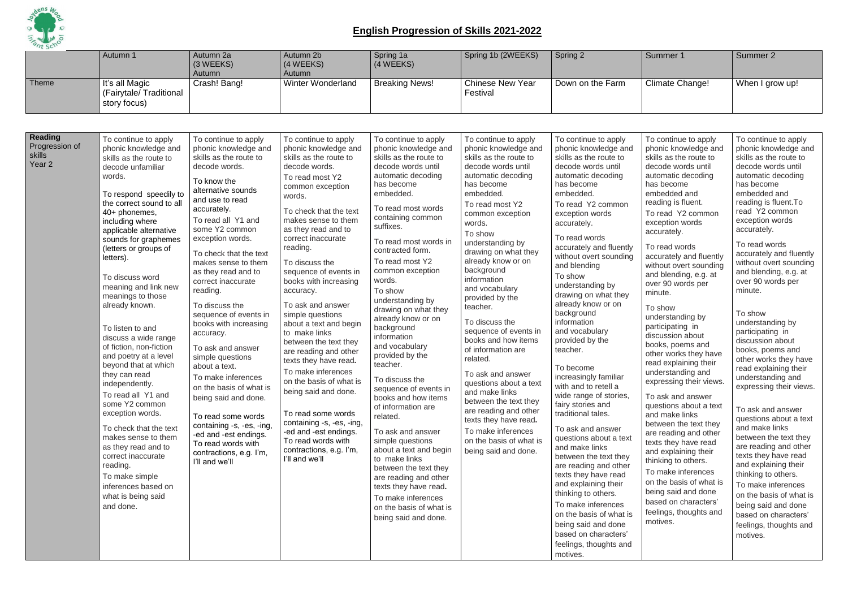

|                                               | Autumn 1                                                                                                                                                                                                                                                                                                                                                                                                                                                                                                                                                                                                                                                                                                                                                                               | Autumn 2a<br>(3 WEEKS)<br>Autumn                                                                                                                                                                                                                                                                                                                                                                                                                                                                                                                                                                                                                                                                        | Autumn 2b<br>(4 WEEKS)<br>Autumn                                                                                                                                                                                                                                                                                                                                                                                                                                                                                                                                                                                                                                                                                           | Spring 1a<br>(4 WEEKS)                                                                                                                                                                                                                                                                                                                                                                                                                                                                                                                                                                                                                                                                                                                                                                                     | Spring 1b (2WEEKS)                                                                                                                                                                                                                                                                                                                                                                                                                                                                                                                                                                                                                                                                 | Spring 2                                                                                                                                                                                                                                                                                                                                                                                                                                                                                                                                                                                                                                                                                                                                                                                                                                                                                                                 | Summer 1                                                                                                                                                                                                                                                                                                                                                                                                                                                                                                                                                                                                                                                                                                                                                                                                                                                                                  | Summer 2                                                                                                                                                                                                                                                                                                                                                                                                                                                                                                                                                                                                                                                                                                                                                                                                                                                                                  |
|-----------------------------------------------|----------------------------------------------------------------------------------------------------------------------------------------------------------------------------------------------------------------------------------------------------------------------------------------------------------------------------------------------------------------------------------------------------------------------------------------------------------------------------------------------------------------------------------------------------------------------------------------------------------------------------------------------------------------------------------------------------------------------------------------------------------------------------------------|---------------------------------------------------------------------------------------------------------------------------------------------------------------------------------------------------------------------------------------------------------------------------------------------------------------------------------------------------------------------------------------------------------------------------------------------------------------------------------------------------------------------------------------------------------------------------------------------------------------------------------------------------------------------------------------------------------|----------------------------------------------------------------------------------------------------------------------------------------------------------------------------------------------------------------------------------------------------------------------------------------------------------------------------------------------------------------------------------------------------------------------------------------------------------------------------------------------------------------------------------------------------------------------------------------------------------------------------------------------------------------------------------------------------------------------------|------------------------------------------------------------------------------------------------------------------------------------------------------------------------------------------------------------------------------------------------------------------------------------------------------------------------------------------------------------------------------------------------------------------------------------------------------------------------------------------------------------------------------------------------------------------------------------------------------------------------------------------------------------------------------------------------------------------------------------------------------------------------------------------------------------|------------------------------------------------------------------------------------------------------------------------------------------------------------------------------------------------------------------------------------------------------------------------------------------------------------------------------------------------------------------------------------------------------------------------------------------------------------------------------------------------------------------------------------------------------------------------------------------------------------------------------------------------------------------------------------|--------------------------------------------------------------------------------------------------------------------------------------------------------------------------------------------------------------------------------------------------------------------------------------------------------------------------------------------------------------------------------------------------------------------------------------------------------------------------------------------------------------------------------------------------------------------------------------------------------------------------------------------------------------------------------------------------------------------------------------------------------------------------------------------------------------------------------------------------------------------------------------------------------------------------|-------------------------------------------------------------------------------------------------------------------------------------------------------------------------------------------------------------------------------------------------------------------------------------------------------------------------------------------------------------------------------------------------------------------------------------------------------------------------------------------------------------------------------------------------------------------------------------------------------------------------------------------------------------------------------------------------------------------------------------------------------------------------------------------------------------------------------------------------------------------------------------------|-------------------------------------------------------------------------------------------------------------------------------------------------------------------------------------------------------------------------------------------------------------------------------------------------------------------------------------------------------------------------------------------------------------------------------------------------------------------------------------------------------------------------------------------------------------------------------------------------------------------------------------------------------------------------------------------------------------------------------------------------------------------------------------------------------------------------------------------------------------------------------------------|
| Theme                                         | It's all Magic<br>(Fairytale/Traditional<br>story focus)                                                                                                                                                                                                                                                                                                                                                                                                                                                                                                                                                                                                                                                                                                                               | Crash! Bang!                                                                                                                                                                                                                                                                                                                                                                                                                                                                                                                                                                                                                                                                                            | <b>Winter Wonderland</b>                                                                                                                                                                                                                                                                                                                                                                                                                                                                                                                                                                                                                                                                                                   | <b>Breaking News!</b>                                                                                                                                                                                                                                                                                                                                                                                                                                                                                                                                                                                                                                                                                                                                                                                      | <b>Chinese New Year</b><br>Festival                                                                                                                                                                                                                                                                                                                                                                                                                                                                                                                                                                                                                                                | Down on the Farm                                                                                                                                                                                                                                                                                                                                                                                                                                                                                                                                                                                                                                                                                                                                                                                                                                                                                                         | Climate Change!                                                                                                                                                                                                                                                                                                                                                                                                                                                                                                                                                                                                                                                                                                                                                                                                                                                                           | When I grow up!                                                                                                                                                                                                                                                                                                                                                                                                                                                                                                                                                                                                                                                                                                                                                                                                                                                                           |
|                                               |                                                                                                                                                                                                                                                                                                                                                                                                                                                                                                                                                                                                                                                                                                                                                                                        |                                                                                                                                                                                                                                                                                                                                                                                                                                                                                                                                                                                                                                                                                                         |                                                                                                                                                                                                                                                                                                                                                                                                                                                                                                                                                                                                                                                                                                                            |                                                                                                                                                                                                                                                                                                                                                                                                                                                                                                                                                                                                                                                                                                                                                                                                            |                                                                                                                                                                                                                                                                                                                                                                                                                                                                                                                                                                                                                                                                                    |                                                                                                                                                                                                                                                                                                                                                                                                                                                                                                                                                                                                                                                                                                                                                                                                                                                                                                                          |                                                                                                                                                                                                                                                                                                                                                                                                                                                                                                                                                                                                                                                                                                                                                                                                                                                                                           |                                                                                                                                                                                                                                                                                                                                                                                                                                                                                                                                                                                                                                                                                                                                                                                                                                                                                           |
| Reading<br>Progression of<br>skills<br>Year 2 | To continue to apply<br>phonic knowledge and<br>skills as the route to<br>decode unfamiliar<br>words.<br>To respond speedily to<br>the correct sound to all<br>40+ phonemes,<br>including where<br>applicable alternative<br>sounds for graphemes<br>(letters or groups of<br>letters).<br>To discuss word<br>meaning and link new<br>meanings to those<br>already known.<br>To listen to and<br>discuss a wide range<br>of fiction, non-fiction<br>and poetry at a level<br>beyond that at which<br>they can read<br>independently.<br>To read all Y1 and<br>some Y2 common<br>exception words.<br>To check that the text<br>makes sense to them<br>as they read and to<br>correct inaccurate<br>reading.<br>To make simple<br>inferences based on<br>what is being said<br>and done. | To continue to apply<br>phonic knowledge and<br>skills as the route to<br>decode words.<br>To know the<br>alternative sounds<br>and use to read<br>accurately.<br>To read all Y1 and<br>some Y2 common<br>exception words.<br>To check that the text<br>makes sense to them<br>as they read and to<br>correct inaccurate<br>reading.<br>To discuss the<br>sequence of events in<br>books with increasing<br>accuracy.<br>To ask and answer<br>simple questions<br>about a text.<br>To make inferences<br>on the basis of what is<br>being said and done.<br>To read some words<br>containing -s, -es, -ing,<br>-ed and -est endings.<br>To read words with<br>contractions, e.g. I'm,<br>I'll and we'll | To continue to apply<br>phonic knowledge and<br>skills as the route to<br>decode words.<br>To read most Y2<br>common exception<br>words.<br>To check that the text<br>makes sense to them<br>as they read and to<br>correct inaccurate<br>reading.<br>To discuss the<br>sequence of events in<br>books with increasing<br>accuracy.<br>To ask and answer<br>simple questions<br>about a text and begin<br>to make links<br>between the text they<br>are reading and other<br>texts they have read.<br>To make inferences<br>on the basis of what is<br>being said and done.<br>To read some words<br>containing -s, -es, -ing,<br>-ed and -est endings.<br>To read words with<br>contractions, e.g. I'm,<br>I'll and we'll | To continue to apply<br>phonic knowledge and<br>skills as the route to<br>decode words until<br>automatic decoding<br>has become<br>embedded.<br>To read most words<br>containing common<br>suffixes.<br>To read most words in<br>contracted form.<br>To read most Y2<br>common exception<br>words.<br>To show<br>understanding by<br>drawing on what they<br>already know or on<br>background<br>information<br>and vocabulary<br>provided by the<br>teacher.<br>To discuss the<br>sequence of events in<br>books and how items<br>of information are<br>related.<br>To ask and answer<br>simple questions<br>about a text and begin<br>to make links<br>between the text they<br>are reading and other<br>texts they have read.<br>To make inferences<br>on the basis of what is<br>being said and done. | To continue to apply<br>phonic knowledge and<br>skills as the route to<br>decode words until<br>automatic decoding<br>has become<br>embedded.<br>To read most Y2<br>common exception<br>words.<br>To show<br>understanding by<br>drawing on what they<br>already know or on<br>background<br>information<br>and vocabulary<br>provided by the<br>teacher.<br>To discuss the<br>sequence of events in<br>books and how items<br>of information are<br>related.<br>To ask and answer<br>questions about a text<br>and make links<br>between the text they<br>are reading and other<br>texts they have read.<br>To make inferences<br>on the basis of what is<br>being said and done. | To continue to apply<br>phonic knowledge and<br>skills as the route to<br>decode words until<br>automatic decoding<br>has become<br>embedded.<br>To read Y2 common<br>exception words<br>accurately.<br>To read words<br>accurately and fluently<br>without overt sounding<br>and blending<br>To show<br>understanding by<br>drawing on what they<br>already know or on<br>background<br>information<br>and vocabulary<br>provided by the<br>teacher.<br>To become<br>increasingly familiar<br>with and to retell a<br>wide range of stories,<br>fairy stories and<br>traditional tales.<br>To ask and answer<br>questions about a text<br>and make links<br>between the text they<br>are reading and other<br>texts they have read<br>and explaining their<br>thinking to others.<br>To make inferences<br>on the basis of what is<br>being said and done<br>based on characters'<br>feelings, thoughts and<br>motives. | To continue to apply<br>phonic knowledge and<br>skills as the route to<br>decode words until<br>automatic decoding<br>has become<br>embedded and<br>reading is fluent.<br>To read Y2 common<br>exception words<br>accurately.<br>To read words<br>accurately and fluently<br>without overt sounding<br>and blending, e.g. at<br>over 90 words per<br>minute.<br>To show<br>understanding by<br>participating in<br>discussion about<br>books, poems and<br>other works they have<br>read explaining their<br>understanding and<br>expressing their views.<br>To ask and answer<br>questions about a text<br>and make links<br>between the text they<br>are reading and other<br>texts they have read<br>and explaining their<br>thinking to others.<br>To make inferences<br>on the basis of what is<br>being said and done<br>based on characters'<br>feelings, thoughts and<br>motives. | To continue to apply<br>phonic knowledge and<br>skills as the route to<br>decode words until<br>automatic decoding<br>has become<br>embedded and<br>reading is fluent. To<br>read Y2 common<br>exception words<br>accurately.<br>To read words<br>accurately and fluently<br>without overt sounding<br>and blending, e.g. at<br>over 90 words per<br>minute.<br>To show<br>understanding by<br>participating in<br>discussion about<br>books, poems and<br>other works they have<br>read explaining their<br>understanding and<br>expressing their views.<br>To ask and answer<br>questions about a text<br>and make links<br>between the text they<br>are reading and other<br>texts they have read<br>and explaining their<br>thinking to others.<br>To make inferences<br>on the basis of what is<br>being said and done<br>based on characters'<br>feelings, thoughts and<br>motives. |